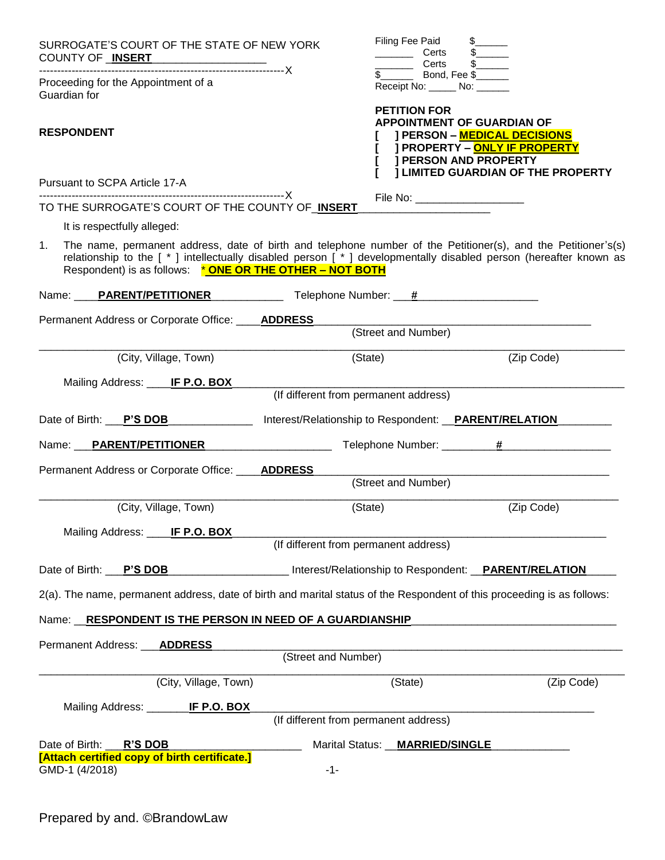|    | SURROGATE'S COURT OF THE STATE OF NEW YORK<br>COUNTY OF <b>INSERT</b>                                                                                                                                                                                                                       |                     | Filing Fee Paid<br>Certs<br>Certs                                                        | $\frac{1}{2}$                                                                                                            |
|----|---------------------------------------------------------------------------------------------------------------------------------------------------------------------------------------------------------------------------------------------------------------------------------------------|---------------------|------------------------------------------------------------------------------------------|--------------------------------------------------------------------------------------------------------------------------|
|    | Proceeding for the Appointment of a<br>Guardian for                                                                                                                                                                                                                                         |                     | Bond, Fee \$<br>$\mathbb{S}$<br>Receipt No: ______ No: ______                            |                                                                                                                          |
|    | <b>RESPONDENT</b>                                                                                                                                                                                                                                                                           |                     | <b>PETITION FOR</b><br><b>APPOINTMENT OF GUARDIAN OF</b><br><b>I PERSON AND PROPERTY</b> | <b>J PERSON - MEDICAL DECISIONS</b><br><b>J PROPERTY - ONLY IF PROPERTY</b><br><b>J LIMITED GUARDIAN OF THE PROPERTY</b> |
|    | Pursuant to SCPA Article 17-A                                                                                                                                                                                                                                                               |                     |                                                                                          |                                                                                                                          |
|    | TO THE SURROGATE'S COURT OF THE COUNTY OF INSERT                                                                                                                                                                                                                                            |                     | File No: ______________________                                                          |                                                                                                                          |
|    | It is respectfully alleged:                                                                                                                                                                                                                                                                 |                     |                                                                                          |                                                                                                                          |
| 1. | The name, permanent address, date of birth and telephone number of the Petitioner(s), and the Petitioner's(s)<br>relationship to the [*] intellectually disabled person [*] developmentally disabled person (hereafter known as<br>Respondent) is as follows: * ONE OR THE OTHER - NOT BOTH |                     |                                                                                          |                                                                                                                          |
|    |                                                                                                                                                                                                                                                                                             |                     |                                                                                          |                                                                                                                          |
|    | Permanent Address or Corporate Office: ____ <b>ADDRESS</b>                                                                                                                                                                                                                                  |                     |                                                                                          |                                                                                                                          |
|    |                                                                                                                                                                                                                                                                                             |                     | (Street and Number)                                                                      |                                                                                                                          |
|    | (City, Village, Town)                                                                                                                                                                                                                                                                       |                     | (State)                                                                                  | (Zip Code)                                                                                                               |
|    | Mailing Address: ____ IF P.O. BOX_                                                                                                                                                                                                                                                          |                     |                                                                                          |                                                                                                                          |
|    |                                                                                                                                                                                                                                                                                             |                     | (If different from permanent address)                                                    |                                                                                                                          |
|    | Date of Birth: P'S DOB                                                                                                                                                                                                                                                                      |                     | Interest/Relationship to Respondent: <b>__PARENT/RELATION</b>                            |                                                                                                                          |
|    | Name: PARENT/PETITIONER                                                                                                                                                                                                                                                                     |                     |                                                                                          |                                                                                                                          |
|    | Permanent Address or Corporate Office: ____ADDRESS                                                                                                                                                                                                                                          |                     |                                                                                          |                                                                                                                          |
|    |                                                                                                                                                                                                                                                                                             |                     | (Street and Number)                                                                      |                                                                                                                          |
|    | (City, Village, Town)                                                                                                                                                                                                                                                                       |                     | (State)                                                                                  | (Zip Code)                                                                                                               |
|    | Mailing Address: ____ IF P.O. BOX                                                                                                                                                                                                                                                           |                     |                                                                                          |                                                                                                                          |
|    |                                                                                                                                                                                                                                                                                             |                     | (If different from permanent address)                                                    |                                                                                                                          |
|    | Date of Birth: P'S DOB                                                                                                                                                                                                                                                                      |                     | Interest/Relationship to Respondent: PARENT/RELATION                                     |                                                                                                                          |
|    | 2(a). The name, permanent address, date of birth and marital status of the Respondent of this proceeding is as follows:                                                                                                                                                                     |                     |                                                                                          |                                                                                                                          |
|    | Name: RESPONDENT IS THE PERSON IN NEED OF A GUARDIANSHIP                                                                                                                                                                                                                                    |                     |                                                                                          |                                                                                                                          |
|    | Permanent Address: <b>ADDRESS</b>                                                                                                                                                                                                                                                           |                     |                                                                                          |                                                                                                                          |
|    |                                                                                                                                                                                                                                                                                             | (Street and Number) |                                                                                          |                                                                                                                          |
|    | (City, Village, Town)                                                                                                                                                                                                                                                                       |                     | (State)                                                                                  | (Zip Code)                                                                                                               |
|    | <u> IF P.O. BOX</u><br>Mailing Address: _____                                                                                                                                                                                                                                               |                     | (If different from permanent address)                                                    |                                                                                                                          |
|    | Date of Birth:<br><b>R'S DOB</b>                                                                                                                                                                                                                                                            |                     | Marital Status: __MARRIED/SINGLE                                                         |                                                                                                                          |
|    | [Attach certified copy of birth certificate.]<br>GMD-1 (4/2018)                                                                                                                                                                                                                             | $-1-$               |                                                                                          |                                                                                                                          |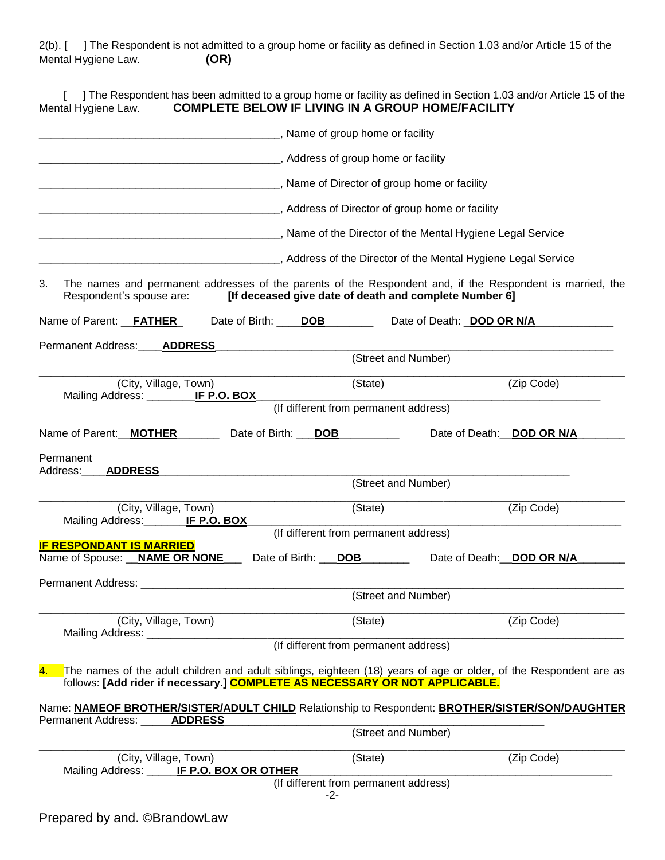2(b). [ ] The Respondent is not admitted to a group home or facility as defined in Section 1.03 and/or Article 15 of the Mental Hygiene Law. **(OR)**

| The Respondent has been admitted to a group home or facility as defined in Section 1.03 and/or Article 15 of the<br><b>COMPLETE BELOW IF LIVING IN A GROUP HOME/FACILITY</b><br>Mental Hygiene Law.                  |  |
|----------------------------------------------------------------------------------------------------------------------------------------------------------------------------------------------------------------------|--|
| _______________________________, Name of group home or facility                                                                                                                                                      |  |
| Material Address of group home or facility                                                                                                                                                                           |  |
| ___________________________________, Name of Director of group home or facility                                                                                                                                      |  |
| Address of Director of group home or facility (Address of Director of group home or facility                                                                                                                         |  |
|                                                                                                                                                                                                                      |  |
|                                                                                                                                                                                                                      |  |
| 3.<br>The names and permanent addresses of the parents of the Respondent and, if the Respondent is married, the<br>[If deceased give date of death and complete Number 6]<br>Respondent's spouse are:                |  |
| Name of Parent: FATHER<br>Date of Birth:<br><b>DOB</b><br>Date of Death: <b>DOD OR N/A</b>                                                                                                                           |  |
| Permanent Address:<br><b>ADDRESS</b><br>(Street and Number)                                                                                                                                                          |  |
| (State)<br>(Zip Code)<br>(City, Village, Town)                                                                                                                                                                       |  |
| Mailing Address: __________ IF P.O. BOX<br>(If different from permanent address)                                                                                                                                     |  |
| Name of Parent: MOTHER<br>Date of Birth: ___ DOB<br>Date of Death: DOD OR N/A                                                                                                                                        |  |
| Permanent<br>Address:<br><b>ADDRESS</b>                                                                                                                                                                              |  |
| (Street and Number)                                                                                                                                                                                                  |  |
| (City, Village, Town)<br>(State)<br>(Zip Code)<br>IF P.O. BOX<br>Mailing Address:                                                                                                                                    |  |
| (If different from permanent address)<br><b>IF RESPONDANT IS MARRIED</b>                                                                                                                                             |  |
| Name of Spouse: NAME OR NONE<br>Date of Birth:<br><b>DOB</b><br>Date of Death: DOD OR N/A                                                                                                                            |  |
|                                                                                                                                                                                                                      |  |
| (Street and Number)                                                                                                                                                                                                  |  |
| (City, Village, Town)<br>(Zip Code)<br>(State)<br>Mailing Address: _____________                                                                                                                                     |  |
| (If different from permanent address)                                                                                                                                                                                |  |
| The names of the adult children and adult siblings, eighteen (18) years of age or older, of the Respondent are as<br>$\overline{4}$ .<br>follows: [Add rider if necessary.] COMPLETE AS NECESSARY OR NOT APPLICABLE. |  |
| Name: NAMEOF BROTHER/SISTER/ADULT CHILD Relationship to Respondent: BROTHER/SISTER/SON/DAUGHTER<br>Permanent Address: _____<br><b>ADDRESS</b>                                                                        |  |
| (Street and Number)                                                                                                                                                                                                  |  |
| (City, Village, Town)<br>(Zip Code)<br>(State)<br>Mailing Address: ______ IF P.O. BOX OR OTHER                                                                                                                       |  |
| (If different from permanent address)<br>-2-                                                                                                                                                                         |  |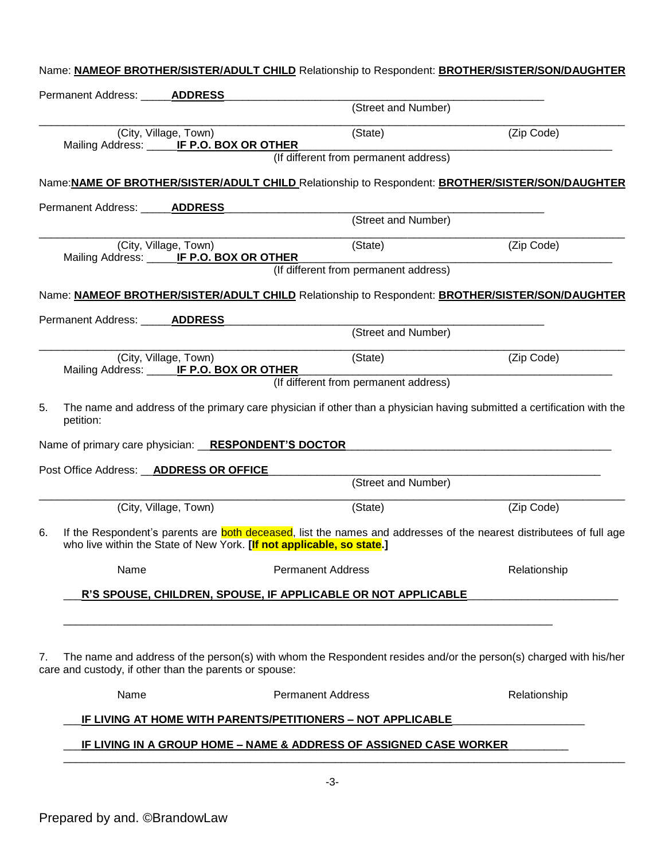| Permanent Address: ______ADDRESS        |                                                                       |                                                                    |                                                                                                                        |
|-----------------------------------------|-----------------------------------------------------------------------|--------------------------------------------------------------------|------------------------------------------------------------------------------------------------------------------------|
|                                         |                                                                       | (Street and Number)                                                |                                                                                                                        |
|                                         | (City, Village, Town)<br>Mailing Address: _____ IF P.O. BOX OR OTHER  | (State)<br>(If different from permanent address)                   | (Zip Code)                                                                                                             |
|                                         |                                                                       |                                                                    |                                                                                                                        |
|                                         |                                                                       |                                                                    | Name: NAME OF BROTHER/SISTER/ADULT CHILD Relationship to Respondent: BROTHER/SISTER/SON/DAUGHTER                       |
| Permanent Address: _____ <b>ADDRESS</b> |                                                                       | (Street and Number)                                                |                                                                                                                        |
|                                         |                                                                       |                                                                    |                                                                                                                        |
|                                         | (City, Village, Town)<br>Mailing Address: _____ IF P.O. BOX OR OTHER  | (State)<br>(If different from permanent address)                   | (Zip Code)                                                                                                             |
|                                         |                                                                       |                                                                    |                                                                                                                        |
|                                         |                                                                       |                                                                    | Name: NAMEOF BROTHER/SISTER/ADULT CHILD Relationship to Respondent: BROTHER/SISTER/SON/DAUGHTER                        |
| Permanent Address: ______ADDRESS        |                                                                       | (Street and Number)                                                |                                                                                                                        |
|                                         | (City, Village, Town)                                                 | (State)                                                            | (Zip Code)                                                                                                             |
|                                         | Mailing Address: <b>IF P.O. BOX OR OTHER</b>                          |                                                                    |                                                                                                                        |
|                                         |                                                                       | (If different from permanent address)                              |                                                                                                                        |
|                                         |                                                                       |                                                                    |                                                                                                                        |
| 5.<br>petition:                         |                                                                       |                                                                    |                                                                                                                        |
|                                         | Name of primary care physician: RESPONDENT'S DOCTOR                   |                                                                    |                                                                                                                        |
|                                         | Post Office Address: <b>_ADDRESS OR OFFICE</b>                        |                                                                    |                                                                                                                        |
|                                         |                                                                       | (Street and Number)                                                | The name and address of the primary care physician if other than a physician having submitted a certification with the |
|                                         | (City, Village, Town)                                                 | (State)                                                            | (Zip Code)                                                                                                             |
| 6.                                      | who live within the State of New York. [If not applicable, so state.] |                                                                    | If the Respondent's parents are both deceased, list the names and addresses of the nearest distributees of full age    |
| Name                                    |                                                                       | <b>Permanent Address</b>                                           | Relationship                                                                                                           |
|                                         |                                                                       | R'S SPOUSE, CHILDREN, SPOUSE, IF APPLICABLE OR NOT APPLICABLE      |                                                                                                                        |
|                                         |                                                                       |                                                                    |                                                                                                                        |
| 7.                                      | care and custody, if other than the parents or spouse:                |                                                                    | The name and address of the person(s) with whom the Respondent resides and/or the person(s) charged with his/her       |
| Name                                    |                                                                       | <b>Permanent Address</b>                                           | Relationship                                                                                                           |
|                                         |                                                                       | <u>IF LIVING AT HOME WITH PARENTS/PETITIONERS – NOT APPLICABLE</u> |                                                                                                                        |
|                                         |                                                                       | IF LIVING IN A GROUP HOME - NAME & ADDRESS OF ASSIGNED CASE WORKER |                                                                                                                        |

Name: **NAMEOF BROTHER/SISTER/ADULT CHILD** Relationship to Respondent: **BROTHER/SISTER/SON/DAUGHTER**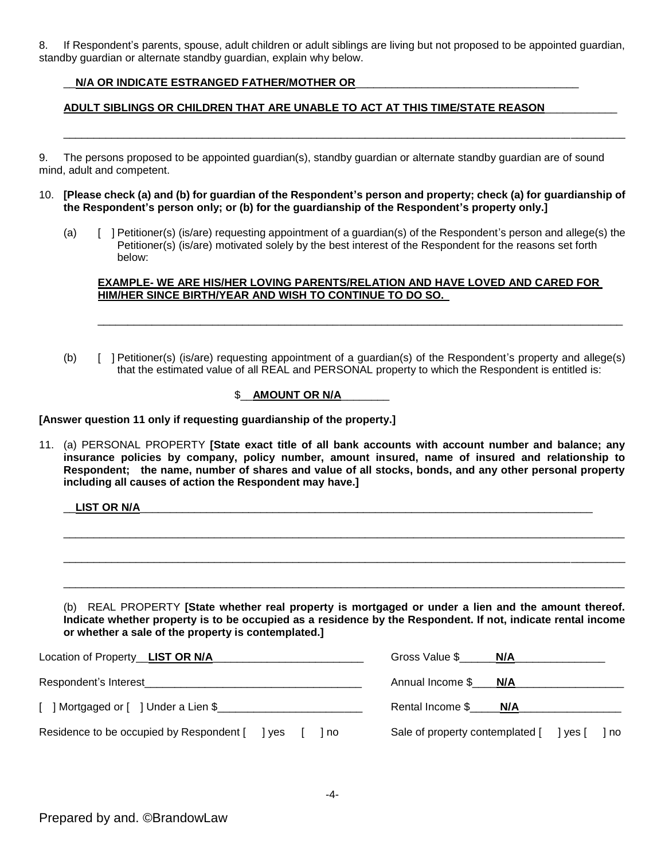8. If Respondent's parents, spouse, adult children or adult siblings are living but not proposed to be appointed guardian, standby guardian or alternate standby guardian, explain why below.

# \_\_**N/A OR INDICATE ESTRANGED FATHER/MOTHER OR**\_\_\_\_\_\_\_\_\_\_\_\_\_\_\_\_\_\_\_\_\_\_\_\_\_\_\_\_\_\_\_\_\_\_\_\_\_

# **ADULT SIBLINGS OR CHILDREN THAT ARE UNABLE TO ACT AT THIS TIME/STATE REASON**\_\_\_\_\_\_\_\_\_\_\_\_

9. The persons proposed to be appointed guardian(s), standby guardian or alternate standby guardian are of sound mind, adult and competent.

10. **[Please check (a) and (b) for guardian of the Respondent's person and property; check (a) for guardianship of the Respondent's person only; or (b) for the guardianship of the Respondent's property only.]**

\_\_\_\_\_\_\_\_\_\_\_\_\_\_\_\_\_\_\_\_\_\_\_\_\_\_\_\_\_\_\_\_\_\_\_\_\_\_\_\_\_\_\_\_\_\_\_\_\_\_\_\_\_\_\_\_\_\_\_\_\_\_\_\_\_\_\_\_\_\_\_\_\_\_\_\_\_\_\_\_\_\_\_\_\_\_\_\_\_\_\_\_\_

(a) [ ] Petitioner(s) (is/are) requesting appointment of a guardian(s) of the Respondent's person and allege(s) the Petitioner(s) (is/are) motivated solely by the best interest of the Respondent for the reasons set forth below:

## **EXAMPLE- WE ARE HIS/HER LOVING PARENTS/RELATION AND HAVE LOVED AND CARED FOR HIM/HER SINCE BIRTH/YEAR AND WISH TO CONTINUE TO DO SO.**

\_\_\_\_\_\_\_\_\_\_\_\_\_\_\_\_\_\_\_\_\_\_\_\_\_\_\_\_\_\_\_\_\_\_\_\_\_\_\_\_\_\_\_\_\_\_\_\_\_\_\_\_\_\_\_\_\_\_\_\_\_\_\_\_\_\_\_\_\_\_\_\_\_\_\_\_\_\_\_\_\_\_\_\_\_\_\_

(b) [ ] Petitioner(s) (is/are) requesting appointment of a guardian(s) of the Respondent's property and allege(s) that the estimated value of all REAL and PERSONAL property to which the Respondent is entitled is:

# \$\_\_**AMOUNT OR N/A**\_\_\_\_\_\_\_\_

## **[Answer question 11 only if requesting guardianship of the property.]**

11. (a) PERSONAL PROPERTY **[State exact title of all bank accounts with account number and balance; any insurance policies by company, policy number, amount insured, name of insured and relationship to Respondent; the name, number of shares and value of all stocks, bonds, and any other personal property including all causes of action the Respondent may have.]** 

\_\_**LIST OR N/A**\_\_\_\_\_\_\_\_\_\_\_\_\_\_\_\_\_\_\_\_\_\_\_\_\_\_\_\_\_\_\_\_\_\_\_\_\_\_\_\_\_\_\_\_\_\_\_\_\_\_\_\_\_\_\_\_\_\_\_\_\_\_\_\_\_\_\_\_\_\_\_\_\_\_\_

(b) REAL PROPERTY **[State whether real property is mortgaged or under a lien and the amount thereof. Indicate whether property is to be occupied as a residence by the Respondent. If not, indicate rental income or whether a sale of the property is contemplated.]**

\_\_\_\_\_\_\_\_\_\_\_\_\_\_\_\_\_\_\_\_\_\_\_\_\_\_\_\_\_\_\_\_\_\_\_\_\_\_\_\_\_\_\_\_\_\_\_\_\_\_\_\_\_\_\_\_\_\_\_\_\_\_\_\_\_\_\_\_\_\_\_\_\_\_\_\_\_\_\_\_\_\_\_\_\_\_\_\_\_\_\_\_\_

\_\_\_\_\_\_\_\_\_\_\_\_\_\_\_\_\_\_\_\_\_\_\_\_\_\_\_\_\_\_\_\_\_\_\_\_\_\_\_\_\_\_\_\_\_\_\_\_\_\_\_\_\_\_\_\_\_\_\_\_\_\_\_\_\_\_\_\_\_\_\_\_\_\_\_\_\_\_\_\_\_\_\_\_\_\_\_\_\_\_\_\_\_

 $\Box$ 

| Location of Property_LIST OR N/A                       | Gross Value \$                          | N/A |      |
|--------------------------------------------------------|-----------------------------------------|-----|------|
| Respondent's Interest                                  | Annual Income \$ N/A                    |     |      |
| $\lceil$   Mortgaged or $\lceil$   Under a Lien \$     | Rental Income \$ N/A                    |     |      |
| Residence to be occupied by Respondent [ ] yes<br>l no | Sale of property contemplated [ ] yes [ |     | l no |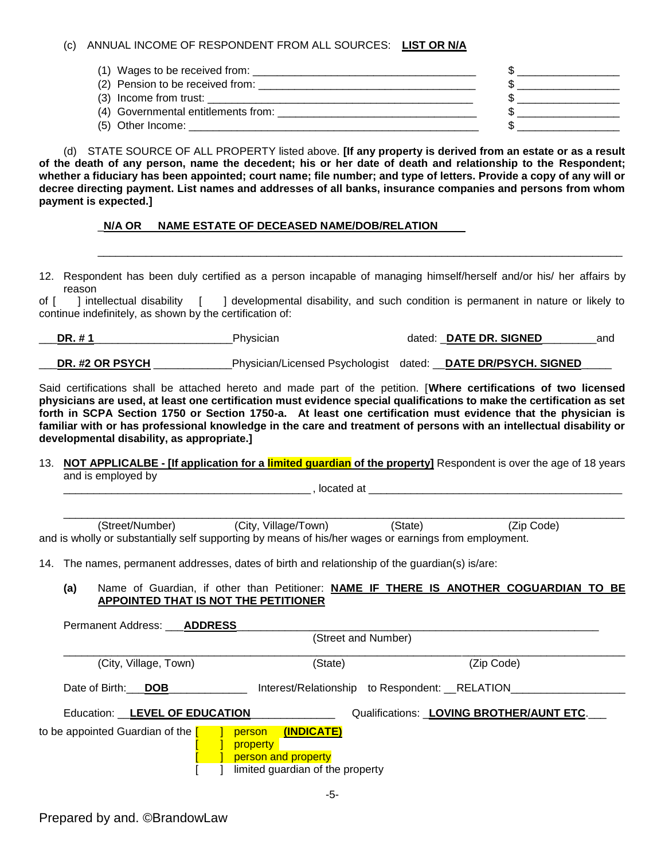#### (c) ANNUAL INCOME OF RESPONDENT FROM ALL SOURCES: **LIST OR N/A**

| $(1)$ Wages to be received from: $\frac{1}{1}$ |  |
|------------------------------------------------|--|
| (2) Pension to be received from:               |  |
| $(3)$ Income from trust: $\sqrt{3}$            |  |
| (4) Governmental entitlements from: COVERTING  |  |
| (5) Other Income:                              |  |

(d) STATE SOURCE OF ALL PROPERTY listed above. **[If any property is derived from an estate or as a result of the death of any person, name the decedent; his or her date of death and relationship to the Respondent; whether a fiduciary has been appointed; court name; file number; and type of letters. Provide a copy of any will or decree directing payment. List names and addresses of all banks, insurance companies and persons from whom payment is expected.]**

## \_**N/A OR NAME ESTATE OF DECEASED NAME/DOB/RELATION**

12. Respondent has been duly certified as a person incapable of managing himself/herself and/or his/ her affairs by reason

\_\_\_\_\_\_\_\_\_\_\_\_\_\_\_\_\_\_\_\_\_\_\_\_\_\_\_\_\_\_\_\_\_\_\_\_\_\_\_\_\_\_\_\_\_\_\_\_\_\_\_\_\_\_\_\_\_\_\_\_\_\_\_\_\_\_\_\_\_\_\_\_\_\_\_\_\_\_\_\_\_\_\_\_\_\_\_

of [ ] intellectual disability [ ] developmental disability, and such condition is permanent in nature or likely to continue indefinitely, as shown by the certification of:

\_\_\_**DR. # 1**\_\_\_\_\_\_\_\_\_\_\_\_\_\_\_\_\_\_\_\_\_\_\_Physician dated: \_**DATE DR. SIGNED**\_\_\_\_\_\_\_\_\_and **DR. #2 OR PSYCH Physician/Licensed Psychologist dated: \_DATE DR/PSYCH. SIGNED** 

Said certifications shall be attached hereto and made part of the petition. [**Where certifications of two licensed physicians are used, at least one certification must evidence special qualifications to make the certification as set forth in SCPA Section 1750 or Section 1750-a. At least one certification must evidence that the physician is familiar with or has professional knowledge in the care and treatment of persons with an intellectual disability or developmental disability, as appropriate.]**

13. **NOT APPLICALBE - [If application for a limited guardian of the property]** Respondent is over the age of 18 years and is employed by

 $\Box$ , located at  $\Box$ 

\_\_\_\_\_\_\_\_\_\_\_\_\_\_\_\_\_\_\_\_\_\_\_\_\_\_\_\_\_\_\_\_\_\_\_\_\_\_\_\_\_\_\_\_\_\_\_\_\_\_\_\_\_\_\_\_\_\_\_\_\_\_\_\_\_\_\_\_\_\_\_\_\_\_\_\_\_\_\_\_\_\_\_\_\_\_\_\_\_\_\_\_\_ (Street/Number) (City, Village/Town) (State) (Zip Code) and is wholly or substantially self supporting by means of his/her wages or earnings from employment.

14. The names, permanent addresses, dates of birth and relationship of the guardian(s) is/are:

**(a)** Name of Guardian, if other than Petitioner: **NAME IF THERE IS ANOTHER COGUARDIAN TO BE APPOINTED THAT IS NOT THE PETITIONER**

| Permanent Address: <b>ADDRESS</b>              |                                                                                                    |                                          |
|------------------------------------------------|----------------------------------------------------------------------------------------------------|------------------------------------------|
|                                                | (Street and Number)                                                                                |                                          |
| (City, Village, Town)                          | (State)                                                                                            | (Zip Code)                               |
| Date of Birth: DOB                             | Interest/Relationship to Respondent: __RELATION_                                                   |                                          |
| Education: LEVEL OF EDUCATION                  |                                                                                                    | Qualifications: LOVING BROTHER/AUNT ETC. |
| to be appointed Guardian of the <mark>[</mark> | (INDICATE)<br>person<br><b>property</b><br>person and property<br>limited guardian of the property |                                          |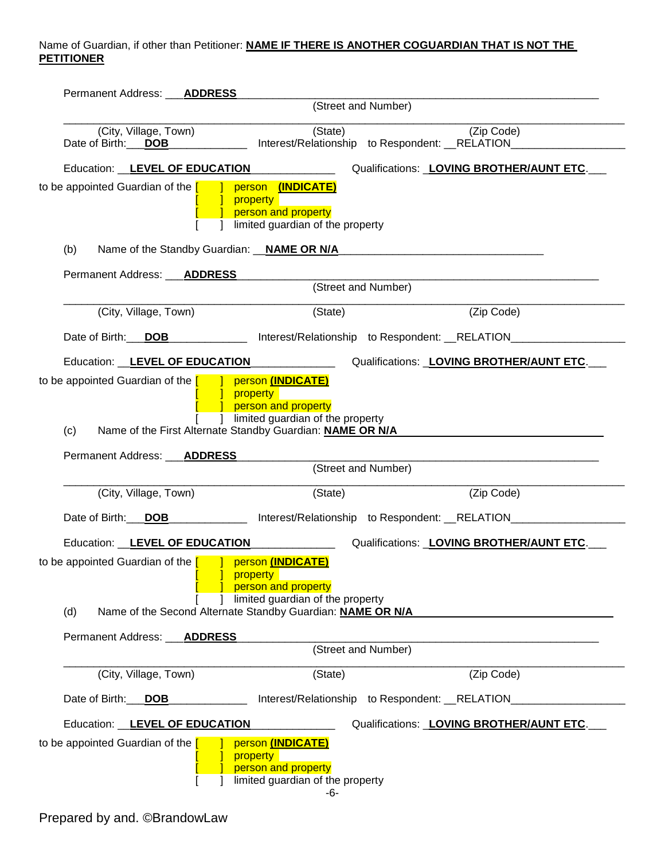# Name of Guardian, if other than Petitioner: **NAME IF THERE IS ANOTHER COGUARDIAN THAT IS NOT THE PETITIONER**

| Permanent Address: ___ <b>ADDRESS</b>       |                                                                                                                                                                                                                                        |                                                  |                                                                                                                     |
|---------------------------------------------|----------------------------------------------------------------------------------------------------------------------------------------------------------------------------------------------------------------------------------------|--------------------------------------------------|---------------------------------------------------------------------------------------------------------------------|
| (Street and Number)                         |                                                                                                                                                                                                                                        |                                                  |                                                                                                                     |
| (City, Village, Town)<br>Date of Birth: DOB | (State)                                                                                                                                                                                                                                |                                                  | (Zip Code)<br>Interest/Relationship to Respondent: __RELATION__________                                             |
|                                             | Education: LEVEL OF EDUCATION                                                                                                                                                                                                          |                                                  | Qualifications: LOVING BROTHER/AUNT ETC.                                                                            |
|                                             | to be appointed Guardian of the $\begin{bmatrix} 1 & 1 \end{bmatrix}$ person $(\text{INDICATE})$<br><b>1</b> property<br>person and property<br>limited guardian of the property                                                       |                                                  |                                                                                                                     |
| (b)                                         | Name of the Standby Guardian: __NAME OR N/A_                                                                                                                                                                                           |                                                  | <u> 1980 - Johann Barbara, martxa alemaniar argumento este alemaniar alemaniar alemaniar alemaniar alemaniar al</u> |
| Permanent Address: ___ <b>ADDRESS</b>       |                                                                                                                                                                                                                                        |                                                  |                                                                                                                     |
|                                             |                                                                                                                                                                                                                                        | (Street and Number)                              |                                                                                                                     |
| (City, Village, Town)                       | (State)                                                                                                                                                                                                                                |                                                  | (Zip Code)                                                                                                          |
|                                             | Date of Birth: DOB _______________ Interest/Relationship to Respondent: RELATION________                                                                                                                                               |                                                  |                                                                                                                     |
|                                             | Education: LEVEL OF EDUCATION                                                                                                                                                                                                          |                                                  | Qualifications: LOVING BROTHER/AUNT ETC.                                                                            |
| (c)                                         | to be appointed Guardian of the $\begin{bmatrix} 1 & 1 \end{bmatrix}$ person (INDICATE)<br><b>J</b> property<br>person and property<br>1 limited guardian of the property<br>Name of the First Alternate Standby Guardian: NAME OR N/A |                                                  |                                                                                                                     |
| Permanent Address: ___ <b>ADDRESS</b>       |                                                                                                                                                                                                                                        | (Street and Number)                              |                                                                                                                     |
| (City, Village, Town)                       | (State)                                                                                                                                                                                                                                |                                                  | (Zip Code)                                                                                                          |
| Date of Birth: DOB                          |                                                                                                                                                                                                                                        |                                                  | Interest/Relationship to Respondent: __RELATION__________                                                           |
| Education: LEVEL OF EDUCATION               |                                                                                                                                                                                                                                        |                                                  | Qualifications: LOVING BROTHER/AUNT ETC.                                                                            |
| (d)                                         | to be appointed Guardian of the $\begin{bmatrix} 1 & 1 \end{bmatrix}$ person (INDICATE)<br>property<br>person and property<br>limited guardian of the property<br>Name of the Second Alternate Standby Guardian: NAME OR N/A           |                                                  |                                                                                                                     |
| <b>Permanent Address:</b>                   | <b>ADDRESS</b>                                                                                                                                                                                                                         |                                                  |                                                                                                                     |
|                                             | (Street and Number)                                                                                                                                                                                                                    |                                                  |                                                                                                                     |
| (City, Village, Town)                       | (State)                                                                                                                                                                                                                                |                                                  | (Zip Code)                                                                                                          |
| Date of Birth:<br><b>DOB</b>                |                                                                                                                                                                                                                                        | Interest/Relationship to Respondent: __RELATION_ |                                                                                                                     |
| Education: LEVEL OF EDUCATION               |                                                                                                                                                                                                                                        |                                                  | Qualifications: LOVING BROTHER/AUNT ETC.                                                                            |
| to be appointed Guardian of the [           | person (INDICATE)<br>property<br>person and property<br>limited guardian of the property                                                                                                                                               |                                                  |                                                                                                                     |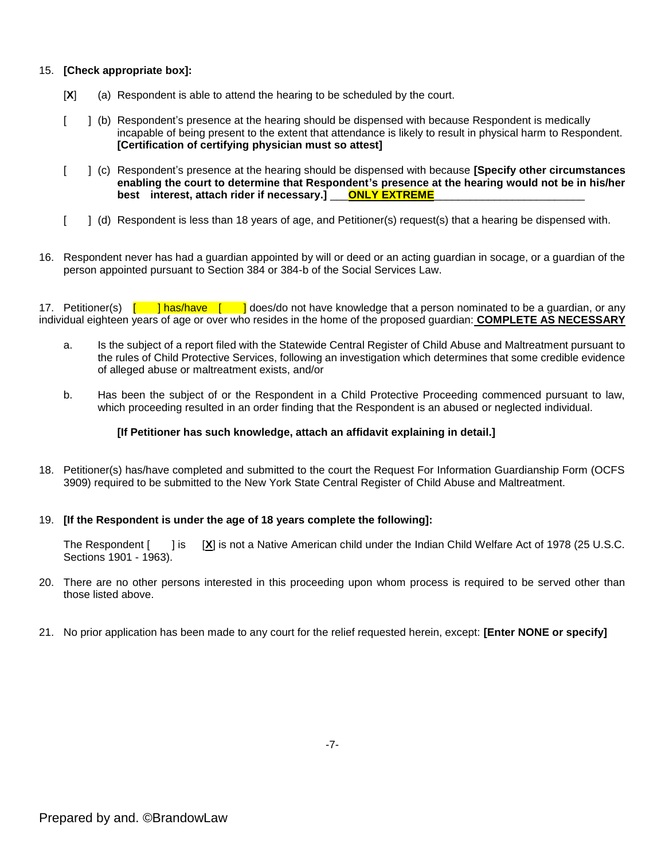#### 15. **[Check appropriate box]:**

- [**X**] (a) Respondent is able to attend the hearing to be scheduled by the court.
- [ ] (b) Respondent's presence at the hearing should be dispensed with because Respondent is medically incapable of being present to the extent that attendance is likely to result in physical harm to Respondent. **[Certification of certifying physician must so attest]**
- [ ] (c) Respondent's presence at the hearing should be dispensed with because **[Specify other circumstances enabling the court to determine that Respondent's presence at the hearing would not be in his/her best interest, attach rider if necessary.]** \_\_\_**ONLY EXTREME**\_\_\_\_\_\_\_\_\_\_\_\_\_\_\_\_\_\_\_\_\_\_\_\_\_
- [ ] (d) Respondent is less than 18 years of age, and Petitioner(s) request(s) that a hearing be dispensed with.
- 16. Respondent never has had a guardian appointed by will or deed or an acting guardian in socage, or a guardian of the person appointed pursuant to Section 384 or 384-b of the Social Services Law.

17. Petitioner(s) [ ] has/have [ ] does/do not have knowledge that a person nominated to be a guardian, or any individual eighteen years of age or over who resides in the home of the proposed guardian: **COMPLETE AS NECESSARY**

- a. Is the subject of a report filed with the Statewide Central Register of Child Abuse and Maltreatment pursuant to the rules of Child Protective Services, following an investigation which determines that some credible evidence of alleged abuse or maltreatment exists, and/or
- b. Has been the subject of or the Respondent in a Child Protective Proceeding commenced pursuant to law, which proceeding resulted in an order finding that the Respondent is an abused or neglected individual.

#### **[If Petitioner has such knowledge, attach an affidavit explaining in detail.]**

18. Petitioner(s) has/have completed and submitted to the court the Request For Information Guardianship Form (OCFS 3909) required to be submitted to the New York State Central Register of Child Abuse and Maltreatment.

#### 19. **[If the Respondent is under the age of 18 years complete the following]:**

The Respondent [ ] is [X] is not a Native American child under the Indian Child Welfare Act of 1978 (25 U.S.C. Sections 1901 - 1963).

- 20. There are no other persons interested in this proceeding upon whom process is required to be served other than those listed above.
- 21. No prior application has been made to any court for the relief requested herein, except: **[Enter NONE or specify]**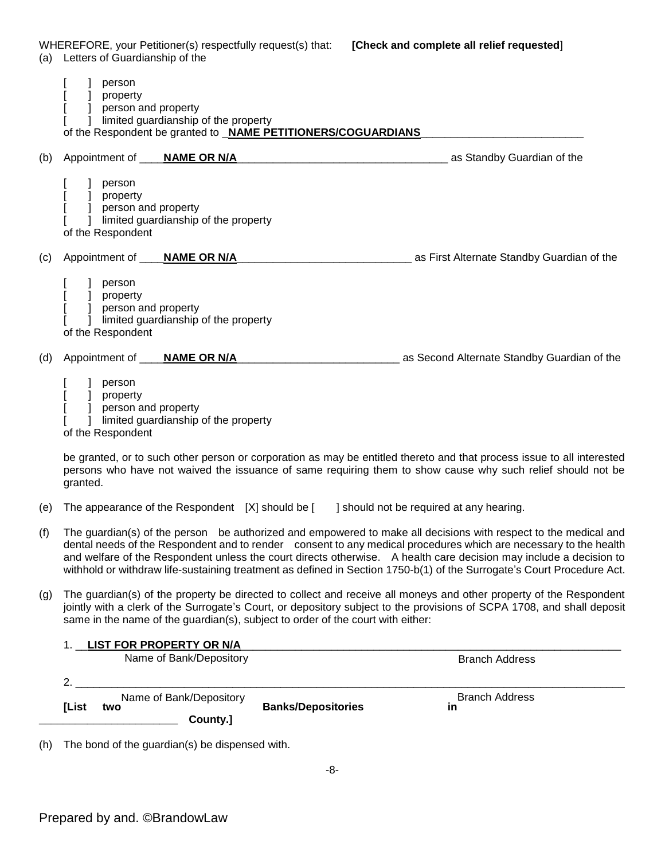WHEREFORE, your Petitioner(s) respectfully request(s) that: **[Check and complete all relief requested**]

| (a) | Letters of Guardianship of the                                                                                                                           |                                                                                                                                                                                                                                                                                                                                                                                                                                                                                      |
|-----|----------------------------------------------------------------------------------------------------------------------------------------------------------|--------------------------------------------------------------------------------------------------------------------------------------------------------------------------------------------------------------------------------------------------------------------------------------------------------------------------------------------------------------------------------------------------------------------------------------------------------------------------------------|
|     | person<br>] property<br>] person and property<br>I limited guardianship of the property<br>of the Respondent be granted to _NAME PETITIONERS/COGUARDIANS |                                                                                                                                                                                                                                                                                                                                                                                                                                                                                      |
| (b) | Appointment of ____NAME OR N/A                                                                                                                           | as Standby Guardian of the measurement as Standby Guardian of the                                                                                                                                                                                                                                                                                                                                                                                                                    |
|     | person<br>] property<br>] person and property<br>] limited guardianship of the property<br>of the Respondent                                             |                                                                                                                                                                                                                                                                                                                                                                                                                                                                                      |
| (c) |                                                                                                                                                          | as First Alternate Standby Guardian of the                                                                                                                                                                                                                                                                                                                                                                                                                                           |
|     | person<br>] property<br>] person and property<br>] limited guardianship of the property<br>of the Respondent                                             |                                                                                                                                                                                                                                                                                                                                                                                                                                                                                      |
| (d) | Appointment of ____ <b>NAME OR N/A_</b>                                                                                                                  | as Second Alternate Standby Guardian of the                                                                                                                                                                                                                                                                                                                                                                                                                                          |
|     | ] person<br>] property<br>] person and property<br>] limited guardianship of the property<br>of the Respondent                                           |                                                                                                                                                                                                                                                                                                                                                                                                                                                                                      |
|     | granted.                                                                                                                                                 | be granted, or to such other person or corporation as may be entitled thereto and that process issue to all interested<br>persons who have not waived the issuance of same requiring them to show cause why such relief should not be                                                                                                                                                                                                                                                |
| (e) | The appearance of the Respondent [X] should be [                                                                                                         | should not be required at any hearing.                                                                                                                                                                                                                                                                                                                                                                                                                                               |
| (f) |                                                                                                                                                          | The guardian(s) of the person be authorized and empowered to make all decisions with respect to the medical and<br>dental needs of the Respondent and to render consent to any medical procedures which are necessary to the health<br>and welfare of the Respondent unless the court directs otherwise.  A health care decision may include a decision to<br>withhold or withdraw life-sustaining treatment as defined in Section 1750-b(1) of the Surrogate's Court Procedure Act. |
| (g) | same in the name of the guardian(s), subject to order of the court with either:                                                                          | The guardian(s) of the property be directed to collect and receive all moneys and other property of the Respondent<br>jointly with a clerk of the Surrogate's Court, or depository subject to the provisions of SCPA 1708, and shall deposit                                                                                                                                                                                                                                         |
|     | 1. LIST FOR PROPERTY OR N/A                                                                                                                              |                                                                                                                                                                                                                                                                                                                                                                                                                                                                                      |
|     | Name of Bank/Depository                                                                                                                                  | <b>Branch Address</b>                                                                                                                                                                                                                                                                                                                                                                                                                                                                |

**Franch Address**<br> **Example of Bank/Depository Banks/Depositories in** Branch Address<br> **Example 20 anks/Depositories** in **\_\_\_\_\_\_\_\_\_\_\_\_\_\_\_\_\_\_\_\_\_\_\_ County.]** Name of Bank/Depository

(h) The bond of the guardian(s) be dispensed with.

2. \_\_\_\_\_\_\_\_\_\_\_\_\_\_\_\_\_\_\_\_\_\_\_\_\_\_\_\_\_\_\_\_\_\_\_\_\_\_\_\_\_\_\_\_\_\_\_\_\_\_\_\_\_\_\_\_\_\_\_\_\_\_\_\_\_\_\_\_\_\_\_\_\_\_\_\_\_\_\_\_\_\_\_\_\_\_\_\_\_\_\_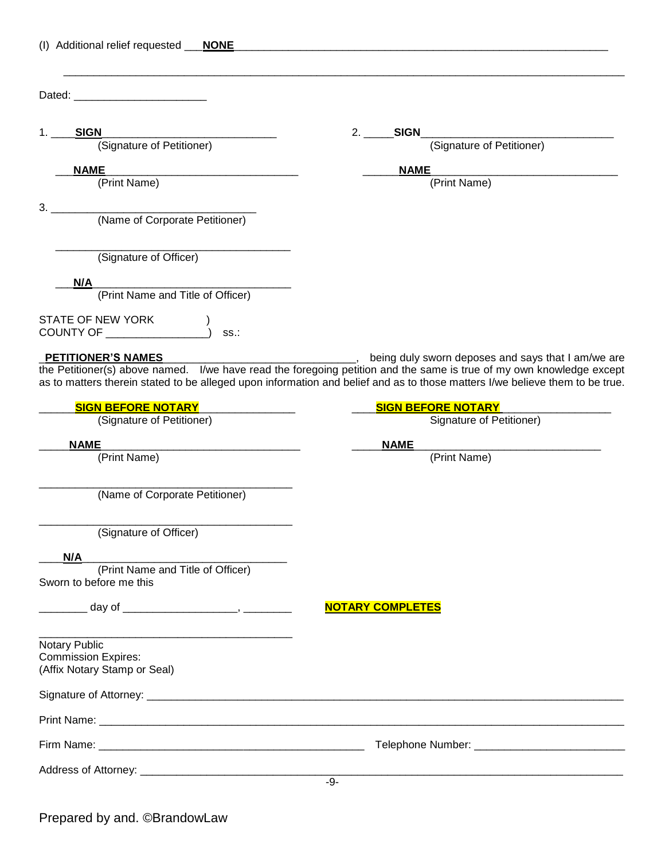| (I) Additional relief requested ___ NONE                                                                                                            |                                                                                                                                                                                                                                                                                                            |
|-----------------------------------------------------------------------------------------------------------------------------------------------------|------------------------------------------------------------------------------------------------------------------------------------------------------------------------------------------------------------------------------------------------------------------------------------------------------------|
| Dated: __________________________                                                                                                                   |                                                                                                                                                                                                                                                                                                            |
| SIGN<br>1.<br>N<br>(Signature of Petitioner)                                                                                                        | <b>SIGN</b><br>2.<br>(Signature of Petitioner)                                                                                                                                                                                                                                                             |
| <b>NAME</b><br><u> 1980 - Jan Barnett, mars eta bainar eta bat zen bat zuen bat zuen bat zuen bat zuen bat zuen bat zuen bat zu</u><br>(Print Name) | <b>NAME</b><br>(Print Name)                                                                                                                                                                                                                                                                                |
| 3.<br>(Name of Corporate Petitioner)                                                                                                                |                                                                                                                                                                                                                                                                                                            |
| (Signature of Officer)                                                                                                                              |                                                                                                                                                                                                                                                                                                            |
| N/A<br>(Print Name and Title of Officer)                                                                                                            |                                                                                                                                                                                                                                                                                                            |
| STATE OF NEW YORK<br>OIAIE OF NEW YORK<br>SS.                                                                                                       |                                                                                                                                                                                                                                                                                                            |
| PETITIONER'S NAMES                                                                                                                                  | being duly sworn deposes and says that I am/we are<br>the Petitioner(s) above named. I/we have read the foregoing petition and the same is true of my own knowledge except<br>as to matters therein stated to be alleged upon information and belief and as to those matters I/we believe them to be true. |
| <b>SIGN BEFORE NOTARY</b><br>(Signature of Petitioner)                                                                                              | <b>SIGN BEFORE NOTARY</b><br>Signature of Petitioner)                                                                                                                                                                                                                                                      |
| <b>NAME</b>                                                                                                                                         | <b>NAME</b>                                                                                                                                                                                                                                                                                                |
| (Print Name)                                                                                                                                        | (Print Name)                                                                                                                                                                                                                                                                                               |
| (Name of Corporate Petitioner)                                                                                                                      |                                                                                                                                                                                                                                                                                                            |
| (Signature of Officer)                                                                                                                              |                                                                                                                                                                                                                                                                                                            |
| N/A<br>(Print Name and Title of Officer)<br>Sworn to before me this                                                                                 |                                                                                                                                                                                                                                                                                                            |
|                                                                                                                                                     | <b>NOTARY COMPLETES</b>                                                                                                                                                                                                                                                                                    |
| Notary Public<br><b>Commission Expires:</b><br>(Affix Notary Stamp or Seal)                                                                         |                                                                                                                                                                                                                                                                                                            |
|                                                                                                                                                     |                                                                                                                                                                                                                                                                                                            |
|                                                                                                                                                     |                                                                                                                                                                                                                                                                                                            |
|                                                                                                                                                     |                                                                                                                                                                                                                                                                                                            |
|                                                                                                                                                     |                                                                                                                                                                                                                                                                                                            |
|                                                                                                                                                     | $-9-$                                                                                                                                                                                                                                                                                                      |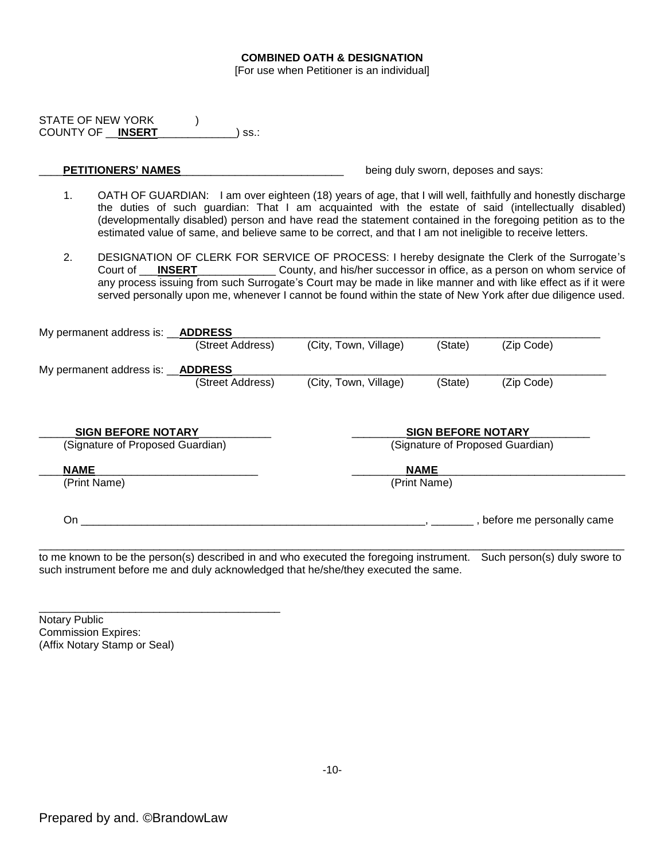#### **COMBINED OATH & DESIGNATION**

[For use when Petitioner is an individual]

STATE OF NEW YORK (1) COUNTY OF \_\_**INSERT**\_\_\_\_\_\_\_\_\_\_\_\_\_) ss.:

# **PETITIONERS' NAMES NAMES EXECUTES EXECUTES EXECUTES EXECUTES EXECUTES EXECUTES EXECUTES EXECUTES EXECUTES EXECUTES EXECUTES EXECUTES EXECUTES EXECUTES EXECUTES EXECUTES EXECUTES EXECU**

- 1. OATH OF GUARDIAN: I am over eighteen (18) years of age, that I will well, faithfully and honestly discharge the duties of such guardian: That I am acquainted with the estate of said (intellectually disabled) (developmentally disabled) person and have read the statement contained in the foregoing petition as to the estimated value of same, and believe same to be correct, and that I am not ineligible to receive letters.
- 2. DESIGNATION OF CLERK FOR SERVICE OF PROCESS: I hereby designate the Clerk of the Surrogate's Court of \_\_\_**INSERT**\_\_\_\_\_\_\_\_\_\_\_\_\_ County, and his/her successor in office, as a person on whom service of any process issuing from such Surrogate's Court may be made in like manner and with like effect as if it were served personally upon me, whenever I cannot be found within the state of New York after due diligence used.

| My permanent address is:         | <b>ADDRESS</b>   |                       |                           |                                  |
|----------------------------------|------------------|-----------------------|---------------------------|----------------------------------|
|                                  | (Street Address) | (City, Town, Village) | (State)                   | (Zip Code)                       |
| My permanent address is:         | <b>ADDRESS</b>   |                       |                           |                                  |
|                                  | (Street Address) | (City, Town, Village) | (State)                   | (Zip Code)                       |
|                                  |                  |                       |                           |                                  |
| <b>SIGN BEFORE NOTARY</b>        |                  |                       | <b>SIGN BEFORE NOTARY</b> |                                  |
| (Signature of Proposed Guardian) |                  |                       |                           | (Signature of Proposed Guardian) |
| <b>NAME</b>                      |                  |                       | <b>NAME</b>               |                                  |
| (Print Name)                     |                  |                       | (Print Name)              |                                  |
| On                               |                  |                       |                           | , before me personally came      |

to me known to be the person(s) described in and who executed the foregoing instrument. Such person(s) duly swore to such instrument before me and duly acknowledged that he/she/they executed the same.

Notary Public Commission Expires: (Affix Notary Stamp or Seal)

\_\_\_\_\_\_\_\_\_\_\_\_\_\_\_\_\_\_\_\_\_\_\_\_\_\_\_\_\_\_\_\_\_\_\_\_\_\_\_\_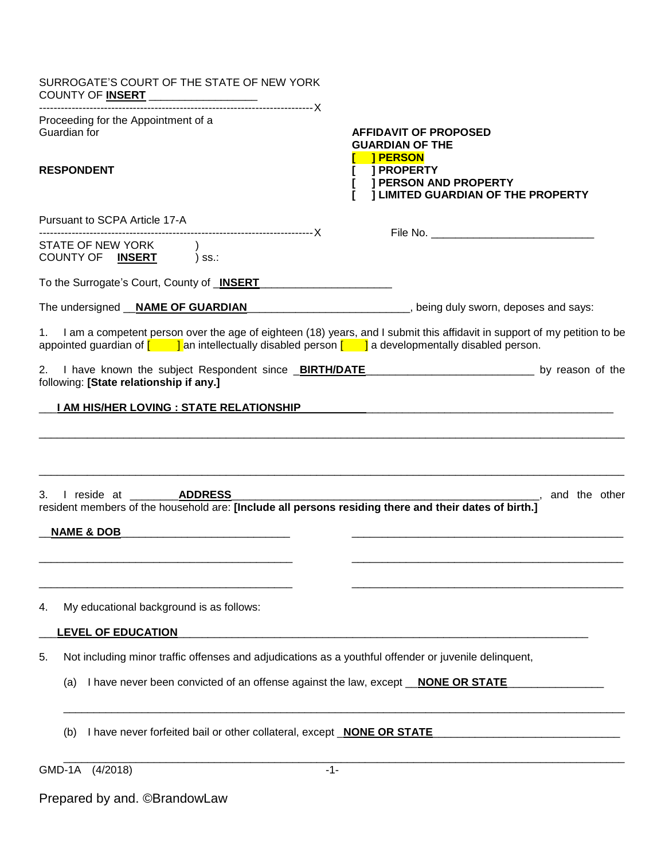| SURROGATE'S COURT OF THE STATE OF NEW YORK<br>COUNTY OF INSERT _________________                                                                                                                                                                                               |                                                                                                                                                                             |
|--------------------------------------------------------------------------------------------------------------------------------------------------------------------------------------------------------------------------------------------------------------------------------|-----------------------------------------------------------------------------------------------------------------------------------------------------------------------------|
| Proceeding for the Appointment of a<br>Guardian for<br><b>RESPONDENT</b>                                                                                                                                                                                                       | <b>AFFIDAVIT OF PROPOSED</b><br><b>GUARDIAN OF THE</b><br><b>I PERSON</b><br><b>J PROPERTY</b><br><b>J PERSON AND PROPERTY</b><br><b>I LIMITED GUARDIAN OF THE PROPERTY</b> |
| Pursuant to SCPA Article 17-A                                                                                                                                                                                                                                                  |                                                                                                                                                                             |
| STATE OF NEW YORK<br>COUNTY OF <b>INSERT</b> ) ss.:                                                                                                                                                                                                                            |                                                                                                                                                                             |
| To the Surrogate's Court, County of <b>INSERT</b>                                                                                                                                                                                                                              |                                                                                                                                                                             |
| The undersigned <b>__NAME OF GUARDIAN</b> _______________________________, being duly sworn, deposes and says:                                                                                                                                                                 |                                                                                                                                                                             |
| 1.<br>appointed guardian of $\begin{bmatrix} 1 & 1 \end{bmatrix}$ an intellectually disabled person $\begin{bmatrix} 1 & 1 \end{bmatrix}$ a developmentally disabled person.                                                                                                   | I am a competent person over the age of eighteen (18) years, and I submit this affidavit in support of my petition to be                                                    |
| 2. I have known the subject Respondent since <b>BIRTH/DATE</b> [2010] [2010] [2010] [2010] [2010] [2010] [2010] [2010] [3010] [2010] [2010] [2010] [2010] [2010] [2010] [2010] [2010] [2010] [2010] [2010] [2010] [2010] [2010] [20<br>following: [State relationship if any.] |                                                                                                                                                                             |
| I AM HIS/HER LOVING : STATE RELATIONSHIP                                                                                                                                                                                                                                       |                                                                                                                                                                             |
| I reside at<br><b>ADDRESS</b><br>3.<br>resident members of the household are: [Include all persons residing there and their dates of birth.]                                                                                                                                   |                                                                                                                                                                             |
| <b>NAME &amp; DOB</b>                                                                                                                                                                                                                                                          |                                                                                                                                                                             |
| My educational background is as follows:<br>4.                                                                                                                                                                                                                                 |                                                                                                                                                                             |
| <b>LEVEL OF EDUCATION</b>                                                                                                                                                                                                                                                      |                                                                                                                                                                             |
| Not including minor traffic offenses and adjudications as a youthful offender or juvenile delinquent,<br>5.                                                                                                                                                                    |                                                                                                                                                                             |
| I have never been convicted of an offense against the law, except <i>NONE OR STATE</i><br>(a)                                                                                                                                                                                  |                                                                                                                                                                             |
| I have never forfeited bail or other collateral, except <b>NONE OR STATE</b><br>(b)                                                                                                                                                                                            |                                                                                                                                                                             |
| GMD-1A<br>(4/2018)<br>$-1-$                                                                                                                                                                                                                                                    |                                                                                                                                                                             |

Prepared by and. ©BrandowLaw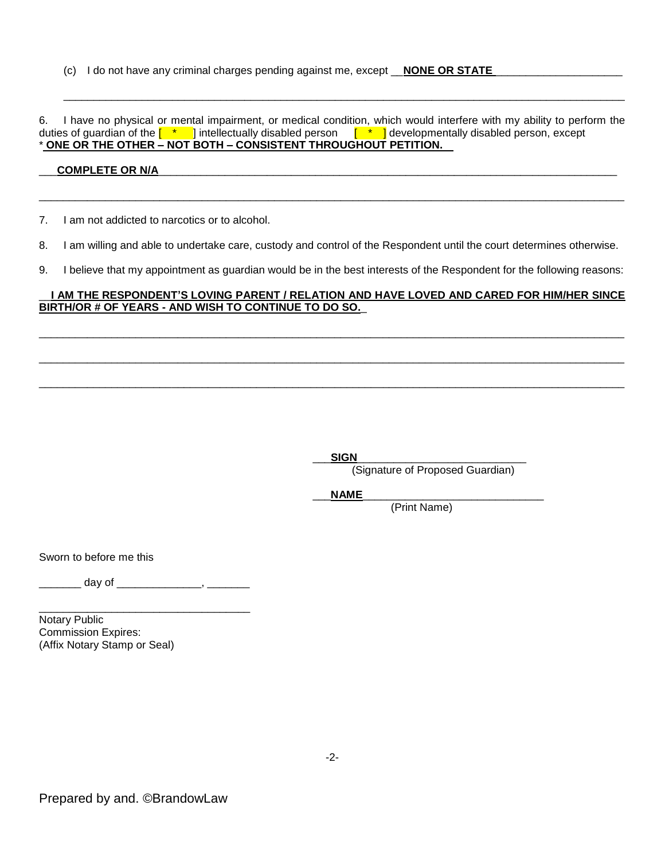(c) I do not have any criminal charges pending against me, except **\_\_NONE OR STATE** 

6. I have no physical or mental impairment, or medical condition, which would interfere with my ability to perform the duties of guardian of the [  $\quad$  \*  $\quad$  ] intellectually disabled person  $\quad$  [  $\quad$  \*  $\quad$  ] developmentally disabled person, except \* **ONE OR THE OTHER – NOT BOTH – CONSISTENT THROUGHOUT PETITION.** 

 $\overline{\phantom{a}}$  , and the contribution of the contribution of the contribution of the contribution of the contribution of the contribution of the contribution of the contribution of the contribution of the contribution of the

# COMPLETE OR N/A

7. I am not addicted to narcotics or to alcohol.

8. I am willing and able to undertake care, custody and control of the Respondent until the court determines otherwise.

\_\_\_\_\_\_\_\_\_\_\_\_\_\_\_\_\_\_\_\_\_\_\_\_\_\_\_\_\_\_\_\_\_\_\_\_\_\_\_\_\_\_\_\_\_\_\_\_\_\_\_\_\_\_\_\_\_\_\_\_\_\_\_\_\_\_\_\_\_\_\_\_\_\_\_\_\_\_\_\_\_\_\_\_\_\_\_\_\_\_\_\_\_\_\_\_\_

9. I believe that my appointment as guardian would be in the best interests of the Respondent for the following reasons:

## \_\_**I AM THE RESPONDENT'S LOVING PARENT / RELATION AND HAVE LOVED AND CARED FOR HIM/HER SINCE BIRTH/OR # OF YEARS - AND WISH TO CONTINUE TO DO SO.**\_

 $\Box$ 

 $\Box$ 

\_\_\_\_\_\_\_\_\_\_\_\_\_\_\_\_\_\_\_\_\_\_\_\_\_\_\_\_\_\_\_\_\_\_\_\_\_\_\_\_\_\_\_\_\_\_\_\_\_\_\_\_\_\_\_\_\_\_\_\_\_\_\_\_\_\_\_\_\_\_\_\_\_\_\_\_\_\_\_\_\_\_\_\_\_\_\_\_\_\_\_\_\_\_\_\_\_

 $SIGN$ 

(Signature of Proposed Guardian)

\_\_\_**NAME**\_\_\_\_\_\_\_\_\_\_\_\_\_\_\_\_\_\_\_\_\_\_\_\_\_\_\_\_\_\_

(Print Name)

Sworn to before me this

\_\_\_\_\_\_ day of \_\_\_\_\_\_\_\_\_\_\_\_\_\_\_\_, \_\_\_\_\_\_\_\_\_

\_\_\_\_\_\_\_\_\_\_\_\_\_\_\_\_\_\_\_\_\_\_\_\_\_\_\_\_\_\_\_\_\_\_\_

Notary Public Commission Expires: (Affix Notary Stamp or Seal)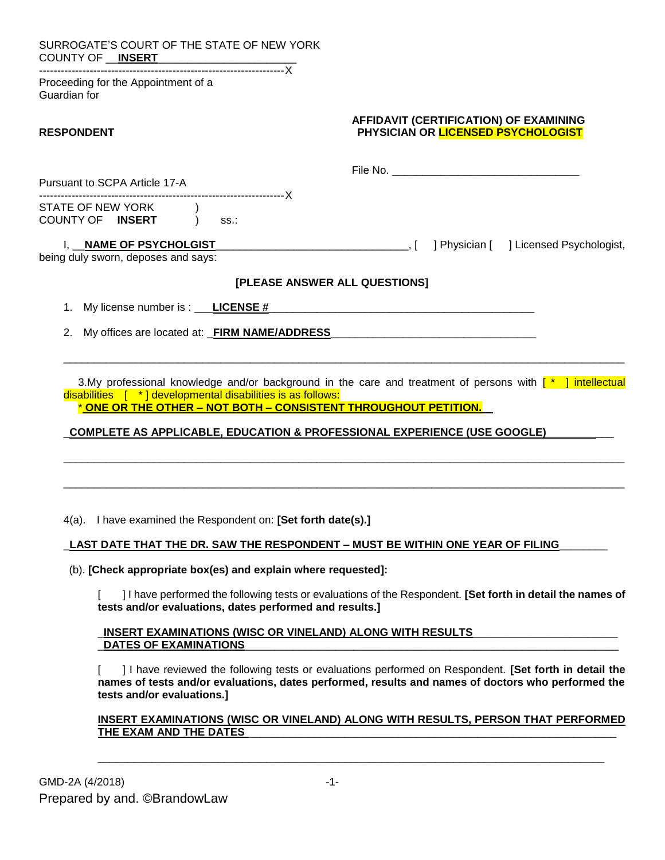| SURROGATE'S COURT OF THE STATE OF NEW YORK                                                                                              |                                                                                                                                                                                                              |
|-----------------------------------------------------------------------------------------------------------------------------------------|--------------------------------------------------------------------------------------------------------------------------------------------------------------------------------------------------------------|
| Proceeding for the Appointment of a<br>Guardian for                                                                                     |                                                                                                                                                                                                              |
| <b>RESPONDENT</b>                                                                                                                       | AFFIDAVIT (CERTIFICATION) OF EXAMINING<br>PHYSICIAN OR LICENSED PSYCHOLOGIST                                                                                                                                 |
| Pursuant to SCPA Article 17-A                                                                                                           |                                                                                                                                                                                                              |
| STATE OF NEW YORK<br>COUNTY OF INSERT )<br>SS.                                                                                          |                                                                                                                                                                                                              |
| being duly sworn, deposes and says:                                                                                                     | ] Physician [ ] Licensed Psychologist,                                                                                                                                                                       |
|                                                                                                                                         | [PLEASE ANSWER ALL QUESTIONS]                                                                                                                                                                                |
| 1.                                                                                                                                      |                                                                                                                                                                                                              |
| 2.                                                                                                                                      |                                                                                                                                                                                                              |
| $disabilities$ $[$ $*$ $]$ developmental disabilities is as follows:<br>* ONE OR THE OTHER - NOT BOTH - CONSISTENT THROUGHOUT PETITION. | 3.My professional knowledge and/or background in the care and treatment of persons with [* ] intellectual<br><u>COMPLETE AS APPLICABLE, EDUCATION &amp; PROFESSIONAL EXPERIENCE (USE GOOGLE)</u>             |
| 4(a). I have examined the Respondent on: [Set forth date(s).]                                                                           |                                                                                                                                                                                                              |
|                                                                                                                                         | LAST DATE THAT THE DR. SAW THE RESPONDENT – MUST BE WITHIN ONE YEAR OF FILING                                                                                                                                |
| (b). [Check appropriate box(es) and explain where requested]:                                                                           |                                                                                                                                                                                                              |
| tests and/or evaluations, dates performed and results.]                                                                                 | I have performed the following tests or evaluations of the Respondent. [Set forth in detail the names of                                                                                                     |
| INSERT EXAMINATIONS (WISC OR VINELAND) ALONG WITH RESULTS<br><b>DATES OF EXAMINATIONS</b>                                               |                                                                                                                                                                                                              |
| tests and/or evaluations.]                                                                                                              | ] I have reviewed the following tests or evaluations performed on Respondent. [Set forth in detail the<br>names of tests and/or evaluations, dates performed, results and names of doctors who performed the |
| THE EXAM AND THE DATES                                                                                                                  | <u>INSERT EXAMINATIONS (WISC OR VINELAND) ALONG WITH RESULTS, PERSON THAT PERFORMED</u>                                                                                                                      |

\_\_\_\_\_\_\_\_\_\_\_\_\_\_\_\_\_\_\_\_\_\_\_\_\_\_\_\_\_\_\_\_\_\_\_\_\_\_\_\_\_\_\_\_\_\_\_\_\_\_\_\_\_\_\_\_\_\_\_\_\_\_\_\_\_\_\_\_\_\_\_\_\_\_\_\_\_\_\_\_\_\_\_\_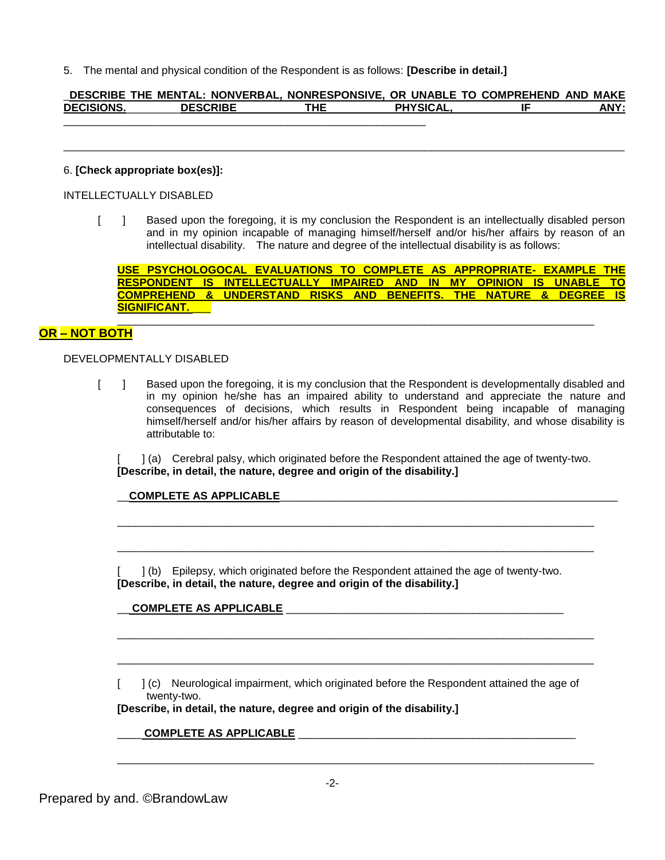5. The mental and physical condition of the Respondent is as follows: **[Describe in detail.]**

#### \_**DESCRIBE THE MENTAL: NONVERBAL, NONRESPONSIVE, OR UNABLE TO COMPREHEND AND MAKE DECISIONS.**\_\_\_\_\_\_\_\_\_**DESCRIBE THE PHYSICAL, IF ANY:**  \_\_\_\_\_\_\_\_\_\_\_\_\_\_\_\_\_\_\_\_\_\_\_\_\_\_\_\_\_\_\_\_\_\_\_\_\_\_\_\_\_\_\_\_\_\_\_\_\_\_\_\_\_\_\_\_\_\_\_\_

 $\overline{\phantom{a}}$  , and the contribution of the contribution of the contribution of the contribution of the contribution of the contribution of the contribution of the contribution of the contribution of the contribution of the

#### 6. **[Check appropriate box(es)]:**

INTELLECTUALLY DISABLED

[ ] Based upon the foregoing, it is my conclusion the Respondent is an intellectually disabled person and in my opinion incapable of managing himself/herself and/or his/her affairs by reason of an intellectual disability. The nature and degree of the intellectual disability is as follows:

**USE PSYCHOLOGOCAL EVALUATIONS TO COMPLETE AS APPROPRIATE- EXAMPLE THE RESPONDENT IS INTELLECTUALLY IMPAIRED AND IN MY OPINION IS UNABLE TO COMPREHEND & UNDERSTAND RISKS AND BENEFITS. THE NATURE & DEGREE IS SIGNIFICANT.** \_\_\_

\_\_\_\_\_\_\_\_\_\_\_\_\_\_\_\_\_\_\_\_\_\_\_\_\_\_\_\_\_\_\_\_\_\_\_\_\_\_\_\_\_\_\_\_\_\_\_\_\_\_\_\_\_\_\_\_\_\_\_\_\_\_\_\_\_\_\_\_\_\_\_\_\_\_\_\_\_\_\_

# **OR – NOT BOTH**

## DEVELOPMENTALLY DISABLED

[ ] Based upon the foregoing, it is my conclusion that the Respondent is developmentally disabled and in my opinion he/she has an impaired ability to understand and appreciate the nature and consequences of decisions, which results in Respondent being incapable of managing himself/herself and/or his/her affairs by reason of developmental disability, and whose disability is attributable to:

[ ] (a) Cerebral palsy, which originated before the Respondent attained the age of twenty-two. **[Describe, in detail, the nature, degree and origin of the disability.]**

\_\_\_\_\_\_\_\_\_\_\_\_\_\_\_\_\_\_\_\_\_\_\_\_\_\_\_\_\_\_\_\_\_\_\_\_\_\_\_\_\_\_\_\_\_\_\_\_\_\_\_\_\_\_\_\_\_\_\_\_\_\_\_\_\_\_\_\_\_\_\_\_\_\_\_\_\_\_\_

\_\_\_\_\_\_\_\_\_\_\_\_\_\_\_\_\_\_\_\_\_\_\_\_\_\_\_\_\_\_\_\_\_\_\_\_\_\_\_\_\_\_\_\_\_\_\_\_\_\_\_\_\_\_\_\_\_\_\_\_\_\_\_\_\_\_\_\_\_\_\_\_\_\_\_\_\_\_\_

\_\_\_\_\_\_\_\_\_\_\_\_\_\_\_\_\_\_\_\_\_\_\_\_\_\_\_\_\_\_\_\_\_\_\_\_\_\_\_\_\_\_\_\_\_\_\_\_\_\_\_\_\_\_\_\_\_\_\_\_\_\_\_\_\_\_\_\_\_\_\_\_\_\_\_\_\_\_\_

\_\_\_\_\_\_\_\_\_\_\_\_\_\_\_\_\_\_\_\_\_\_\_\_\_\_\_\_\_\_\_\_\_\_\_\_\_\_\_\_\_\_\_\_\_\_\_\_\_\_\_\_\_\_\_\_\_\_\_\_\_\_\_\_\_\_\_\_\_\_\_\_\_\_\_\_\_\_\_

\_\_\_\_\_\_\_\_\_\_\_\_\_\_\_\_\_\_\_\_\_\_\_\_\_\_\_\_\_\_\_\_\_\_\_\_\_\_\_\_\_\_\_\_\_\_\_\_\_\_\_\_\_\_\_\_\_\_\_\_\_\_\_\_\_\_\_\_\_\_\_\_\_\_\_\_\_\_\_

# \_\_**COMPLETE AS APPLICABLE**\_\_\_\_\_\_\_\_\_\_\_\_\_\_\_\_\_\_\_\_\_\_\_\_\_\_\_\_\_\_\_\_\_\_\_\_\_\_\_\_\_\_\_\_\_\_\_\_\_\_\_\_\_\_\_\_

[ ] (b) Epilepsy, which originated before the Respondent attained the age of twenty-two. **[Describe, in detail, the nature, degree and origin of the disability.]**

# \_\_ **COMPLETE AS APPLICABLE** \_\_\_\_\_\_\_\_\_\_\_\_\_\_\_\_\_\_\_\_\_\_\_\_\_\_\_\_\_\_\_\_\_\_\_\_\_\_\_\_\_\_\_\_\_\_

[ ] (c) Neurological impairment, which originated before the Respondent attained the age of twenty-two.

#### **[Describe, in detail, the nature, degree and origin of the disability.]**

#### COMPLETE AS APPLICABLE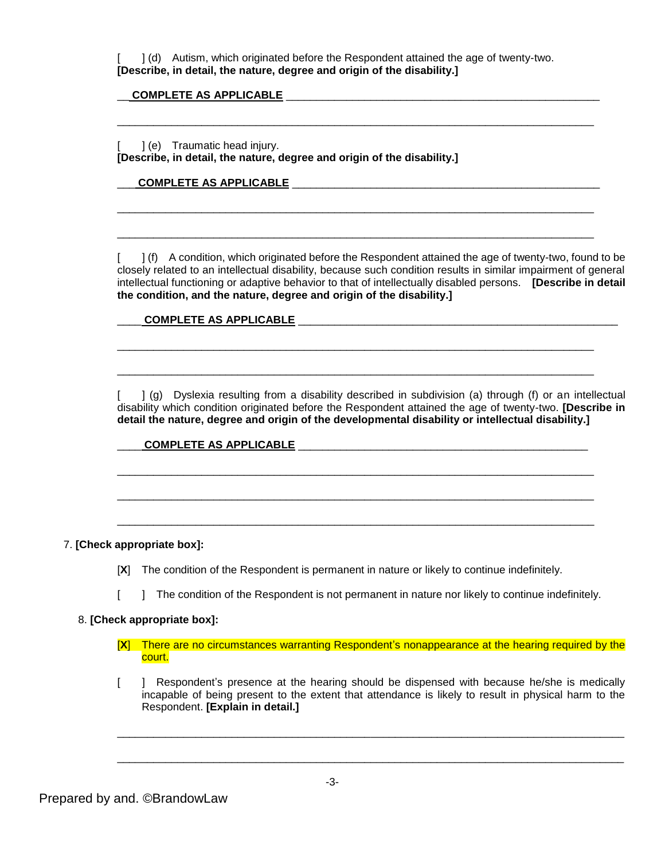[ ] (d) Autism, which originated before the Respondent attained the age of twenty-two. **[Describe, in detail, the nature, degree and origin of the disability.]**

\_\_\_\_\_\_\_\_\_\_\_\_\_\_\_\_\_\_\_\_\_\_\_\_\_\_\_\_\_\_\_\_\_\_\_\_\_\_\_\_\_\_\_\_\_\_\_\_\_\_\_\_\_\_\_\_\_\_\_\_\_\_\_\_\_\_\_\_\_\_\_\_\_\_\_\_\_\_\_

\_\_\_\_\_\_\_\_\_\_\_\_\_\_\_\_\_\_\_\_\_\_\_\_\_\_\_\_\_\_\_\_\_\_\_\_\_\_\_\_\_\_\_\_\_\_\_\_\_\_\_\_\_\_\_\_\_\_\_\_\_\_\_\_\_\_\_\_\_\_\_\_\_\_\_\_\_\_\_

\_\_\_\_\_\_\_\_\_\_\_\_\_\_\_\_\_\_\_\_\_\_\_\_\_\_\_\_\_\_\_\_\_\_\_\_\_\_\_\_\_\_\_\_\_\_\_\_\_\_\_\_\_\_\_\_\_\_\_\_\_\_\_\_\_\_\_\_\_\_\_\_\_\_\_\_\_\_\_

\_\_\_\_\_\_\_\_\_\_\_\_\_\_\_\_\_\_\_\_\_\_\_\_\_\_\_\_\_\_\_\_\_\_\_\_\_\_\_\_\_\_\_\_\_\_\_\_\_\_\_\_\_\_\_\_\_\_\_\_\_\_\_\_\_\_\_\_\_\_\_\_\_\_\_\_\_\_\_

\_\_\_\_\_\_\_\_\_\_\_\_\_\_\_\_\_\_\_\_\_\_\_\_\_\_\_\_\_\_\_\_\_\_\_\_\_\_\_\_\_\_\_\_\_\_\_\_\_\_\_\_\_\_\_\_\_\_\_\_\_\_\_\_\_\_\_\_\_\_\_\_\_\_\_\_\_\_\_

\_\_\_\_\_\_\_\_\_\_\_\_\_\_\_\_\_\_\_\_\_\_\_\_\_\_\_\_\_\_\_\_\_\_\_\_\_\_\_\_\_\_\_\_\_\_\_\_\_\_\_\_\_\_\_\_\_\_\_\_\_\_\_\_\_\_\_\_\_\_\_\_\_\_\_\_\_\_\_

\_\_\_\_\_\_\_\_\_\_\_\_\_\_\_\_\_\_\_\_\_\_\_\_\_\_\_\_\_\_\_\_\_\_\_\_\_\_\_\_\_\_\_\_\_\_\_\_\_\_\_\_\_\_\_\_\_\_\_\_\_\_\_\_\_\_\_\_\_\_\_\_\_\_\_\_\_\_\_

\_\_\_\_\_\_\_\_\_\_\_\_\_\_\_\_\_\_\_\_\_\_\_\_\_\_\_\_\_\_\_\_\_\_\_\_\_\_\_\_\_\_\_\_\_\_\_\_\_\_\_\_\_\_\_\_\_\_\_\_\_\_\_\_\_\_\_\_\_\_\_\_\_\_\_\_\_\_\_

## \_\_ **COMPLETE AS APPLICABLE** \_\_\_\_\_\_\_\_\_\_\_\_\_\_\_\_\_\_\_\_\_\_\_\_\_\_\_\_\_\_\_\_\_\_\_\_\_\_\_\_\_\_\_\_\_\_\_\_\_\_\_\_

[ ] (e) Traumatic head injury. **[Describe, in detail, the nature, degree and origin of the disability.]**

## COMPLETE AS APPLICABLE **EXECUTE AS APPLICABLE**

 $\lceil$  ] (f) A condition, which originated before the Respondent attained the age of twenty-two, found to be closely related to an intellectual disability, because such condition results in similar impairment of general intellectual functioning or adaptive behavior to that of intellectually disabled persons. **[Describe in detail the condition, and the nature, degree and origin of the disability.]**

#### \_\_\_\_ **COMPLETE AS APPLICABLE** \_\_\_\_\_\_\_\_\_\_\_\_\_\_\_\_\_\_\_\_\_\_\_\_\_\_\_\_\_\_\_\_\_\_\_\_\_\_\_\_\_\_\_\_\_\_\_\_\_\_\_\_\_

[ ] (g) Dyslexia resulting from a disability described in subdivision (a) through (f) or an intellectual disability which condition originated before the Respondent attained the age of twenty-two. **[Describe in detail the nature, degree and origin of the developmental disability or intellectual disability.]** 

#### \_\_\_\_ **COMPLETE AS APPLICABLE** \_\_\_\_\_\_\_\_\_\_\_\_\_\_\_\_\_\_\_\_\_\_\_\_\_\_\_\_\_\_\_\_\_\_\_\_\_\_\_\_\_\_\_\_\_\_\_\_

#### 7. **[Check appropriate box]:**

- [**X**] The condition of the Respondent is permanent in nature or likely to continue indefinitely.
- [ ] The condition of the Respondent is not permanent in nature nor likely to continue indefinitely.

#### 8. **[Check appropriate box]:**

- [**X**] There are no circumstances warranting Respondent's nonappearance at the hearing required by the court.
- [ ] Respondent's presence at the hearing should be dispensed with because he/she is medically incapable of being present to the extent that attendance is likely to result in physical harm to the Respondent. **[Explain in detail.]**

\_\_\_\_\_\_\_\_\_\_\_\_\_\_\_\_\_\_\_\_\_\_\_\_\_\_\_\_\_\_\_\_\_\_\_\_\_\_\_\_\_\_\_\_\_\_\_\_\_\_\_\_\_\_\_\_\_\_\_\_\_\_\_\_\_\_\_\_\_\_\_\_\_\_\_\_\_\_\_\_\_\_\_\_

\_\_\_\_\_\_\_\_\_\_\_\_\_\_\_\_\_\_\_\_\_\_\_\_\_\_\_\_\_\_\_\_\_\_\_\_\_\_\_\_\_\_\_\_\_\_\_\_\_\_\_\_\_\_\_\_\_\_\_\_\_\_\_\_\_\_\_\_\_\_\_\_\_\_\_\_\_\_\_\_\_\_\_\_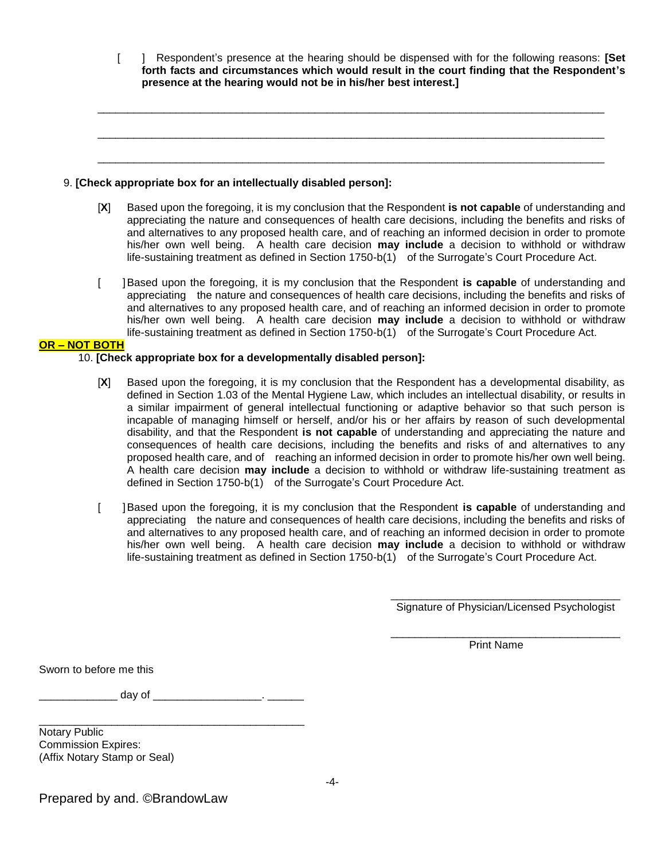[ ] Respondent's presence at the hearing should be dispensed with for the following reasons: **[Set forth facts and circumstances which would result in the court finding that the Respondent's presence at the hearing would not be in his/her best interest.]**

\_\_\_\_\_\_\_\_\_\_\_\_\_\_\_\_\_\_\_\_\_\_\_\_\_\_\_\_\_\_\_\_\_\_\_\_\_\_\_\_\_\_\_\_\_\_\_\_\_\_\_\_\_\_\_\_\_\_\_\_\_\_\_\_\_\_\_\_\_\_\_\_\_\_\_\_\_\_\_\_\_\_\_\_

\_\_\_\_\_\_\_\_\_\_\_\_\_\_\_\_\_\_\_\_\_\_\_\_\_\_\_\_\_\_\_\_\_\_\_\_\_\_\_\_\_\_\_\_\_\_\_\_\_\_\_\_\_\_\_\_\_\_\_\_\_\_\_\_\_\_\_\_\_\_\_\_\_\_\_\_\_\_\_\_\_\_\_\_

\_\_\_\_\_\_\_\_\_\_\_\_\_\_\_\_\_\_\_\_\_\_\_\_\_\_\_\_\_\_\_\_\_\_\_\_\_\_\_\_\_\_\_\_\_\_\_\_\_\_\_\_\_\_\_\_\_\_\_\_\_\_\_\_\_\_\_\_\_\_\_\_\_\_\_\_\_\_\_\_\_\_\_\_

| 9. [Check appropriate box for an intellectually disabled person]: |  |  |  |  |  |  |
|-------------------------------------------------------------------|--|--|--|--|--|--|
|-------------------------------------------------------------------|--|--|--|--|--|--|

- [**X**] Based upon the foregoing, it is my conclusion that the Respondent **is not capable** of understanding and appreciating the nature and consequences of health care decisions, including the benefits and risks of and alternatives to any proposed health care, and of reaching an informed decision in order to promote his/her own well being. A health care decision **may include** a decision to withhold or withdraw life-sustaining treatment as defined in Section 1750-b(1) of the Surrogate's Court Procedure Act.
- [ ]Based upon the foregoing, it is my conclusion that the Respondent **is capable** of understanding and appreciating the nature and consequences of health care decisions, including the benefits and risks of and alternatives to any proposed health care, and of reaching an informed decision in order to promote his/her own well being. A health care decision **may include** a decision to withhold or withdraw life-sustaining treatment as defined in Section 1750-b(1) of the Surrogate's Court Procedure Act.

#### **OR – NOT BOTH**

#### 10. **[Check appropriate box for a developmentally disabled person]:**

- [**X**] Based upon the foregoing, it is my conclusion that the Respondent has a developmental disability, as defined in Section 1.03 of the Mental Hygiene Law, which includes an intellectual disability, or results in a similar impairment of general intellectual functioning or adaptive behavior so that such person is incapable of managing himself or herself, and/or his or her affairs by reason of such developmental disability, and that the Respondent **is not capable** of understanding and appreciating the nature and consequences of health care decisions, including the benefits and risks of and alternatives to any proposed health care, and of reaching an informed decision in order to promote his/her own well being. A health care decision **may include** a decision to withhold or withdraw life-sustaining treatment as defined in Section 1750-b(1) of the Surrogate's Court Procedure Act.
- [ ]Based upon the foregoing, it is my conclusion that the Respondent **is capable** of understanding and appreciating the nature and consequences of health care decisions, including the benefits and risks of and alternatives to any proposed health care, and of reaching an informed decision in order to promote his/her own well being. A health care decision **may include** a decision to withhold or withdraw life-sustaining treatment as defined in Section 1750-b(1) of the Surrogate's Court Procedure Act.

\_\_\_\_\_\_\_\_\_\_\_\_\_\_\_\_\_\_\_\_\_\_\_\_\_\_\_\_\_\_\_\_\_\_\_\_\_\_ Signature of Physician/Licensed Psychologist

\_\_\_\_\_\_\_\_\_\_\_\_\_\_\_\_\_\_\_\_\_\_\_\_\_\_\_\_\_\_\_\_\_\_\_\_\_\_ Print Name

Sworn to before me this

\_\_\_\_\_\_\_\_\_\_\_\_\_ day of \_\_\_\_\_\_\_\_\_\_\_\_\_\_\_\_\_\_. \_\_\_\_\_\_

\_\_\_\_\_\_\_\_\_\_\_\_\_\_\_\_\_\_\_\_\_\_\_\_\_\_\_\_\_\_\_\_\_\_\_\_\_\_\_\_\_\_\_\_

Notary Public Commission Expires: (Affix Notary Stamp or Seal)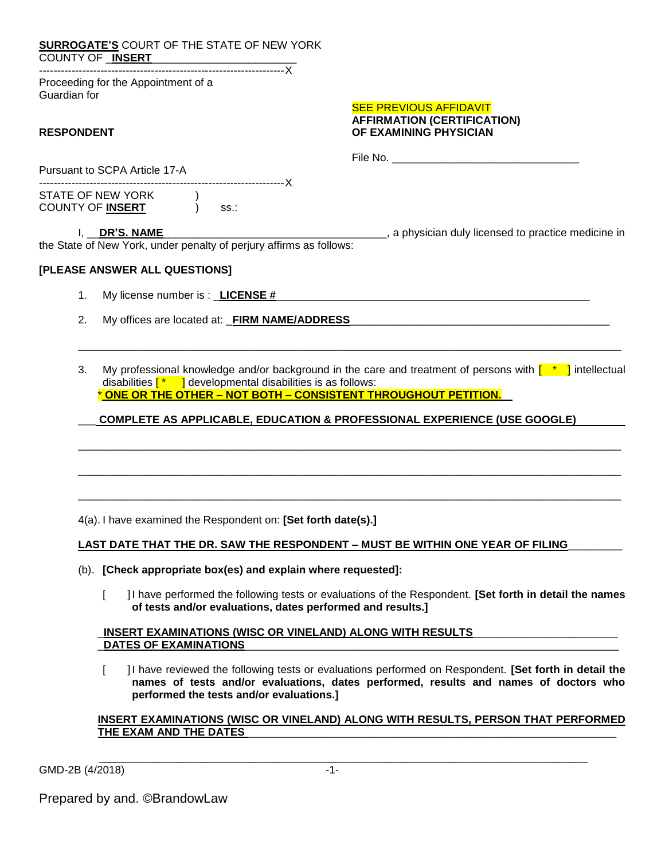| <b>SURROGATE'S COURT OF THE STATE OF NEW YORK</b><br><u>SURRUUSILE – SURRT</u><br>COUNTY OF <u>_INSERT</u>                                                          |                                                                                                                                                                                                                                          |
|---------------------------------------------------------------------------------------------------------------------------------------------------------------------|------------------------------------------------------------------------------------------------------------------------------------------------------------------------------------------------------------------------------------------|
| Proceeding for the Appointment of a<br>Guardian for                                                                                                                 |                                                                                                                                                                                                                                          |
| <b>RESPONDENT</b>                                                                                                                                                   | <b>SEE PREVIOUS AFFIDAVIT</b><br><b>AFFIRMATION (CERTIFICATION)</b><br>OF EXAMINING PHYSICIAN                                                                                                                                            |
| Pursuant to SCPA Article 17-A                                                                                                                                       |                                                                                                                                                                                                                                          |
| STATE OF NEW YORK<br>COUNTY OF <u>INSERT</u> (b)<br>SS.                                                                                                             |                                                                                                                                                                                                                                          |
| I, DR'S. NAME<br>the State of New York, under penalty of perjury affirms as follows:                                                                                | a physician duly licensed to practice medicine in                                                                                                                                                                                        |
| [PLEASE ANSWER ALL QUESTIONS]                                                                                                                                       |                                                                                                                                                                                                                                          |
| My license number is : _LICENSE #<br>1.                                                                                                                             |                                                                                                                                                                                                                                          |
| 2.<br>My offices are located at: _FIRM NAME/ADDRESS_                                                                                                                |                                                                                                                                                                                                                                          |
| 3.<br>disabilities $\begin{bmatrix} * & 0 \end{bmatrix}$ developmental disabilities is as follows:<br>ONE OR THE OTHER - NOT BOTH - CONSISTENT THROUGHOUT PETITION. | My professional knowledge and/or background in the care and treatment of persons with $\begin{bmatrix} * & 0 \\ 0 & s \end{bmatrix}$ intellectual<br><b>COMPLETE AS APPLICABLE, EDUCATION &amp; PROFESSIONAL EXPERIENCE (USE GOOGLE)</b> |
|                                                                                                                                                                     |                                                                                                                                                                                                                                          |
|                                                                                                                                                                     |                                                                                                                                                                                                                                          |
|                                                                                                                                                                     |                                                                                                                                                                                                                                          |
| 4(a). I have examined the Respondent on: [Set forth date(s).]                                                                                                       |                                                                                                                                                                                                                                          |
|                                                                                                                                                                     | LAST DATE THAT THE DR. SAW THE RESPONDENT - MUST BE WITHIN ONE YEAR OF FILING                                                                                                                                                            |

- (b). **[Check appropriate box(es) and explain where requested]:**
	- [ ]I have performed the following tests or evaluations of the Respondent. **[Set forth in detail the names of tests and/or evaluations, dates performed and results.]**

\_**INSERT EXAMINATIONS (WISC OR VINELAND) ALONG WITH RESULTS**\_\_\_\_\_\_\_\_\_\_\_\_\_\_\_\_\_\_\_\_\_\_\_\_ DATES OF EXAMINATIONS

[ ]I have reviewed the following tests or evaluations performed on Respondent. **[Set forth in detail the names of tests and/or evaluations, dates performed, results and names of doctors who performed the tests and/or evaluations.]** 

#### **INSERT EXAMINATIONS (WISC OR VINELAND) ALONG WITH RESULTS, PERSON THAT PERFORMED**  THE EXAM AND THE DATES

GMD-2B (4/2018) -1-

\_\_\_\_\_\_\_\_\_\_\_\_\_\_\_\_\_\_\_\_\_\_\_\_\_\_\_\_\_\_\_\_\_\_\_\_\_\_\_\_\_\_\_\_\_\_\_\_\_\_\_\_\_\_\_\_\_\_\_\_\_\_\_\_\_\_\_\_\_\_\_\_\_\_\_\_\_\_\_\_\_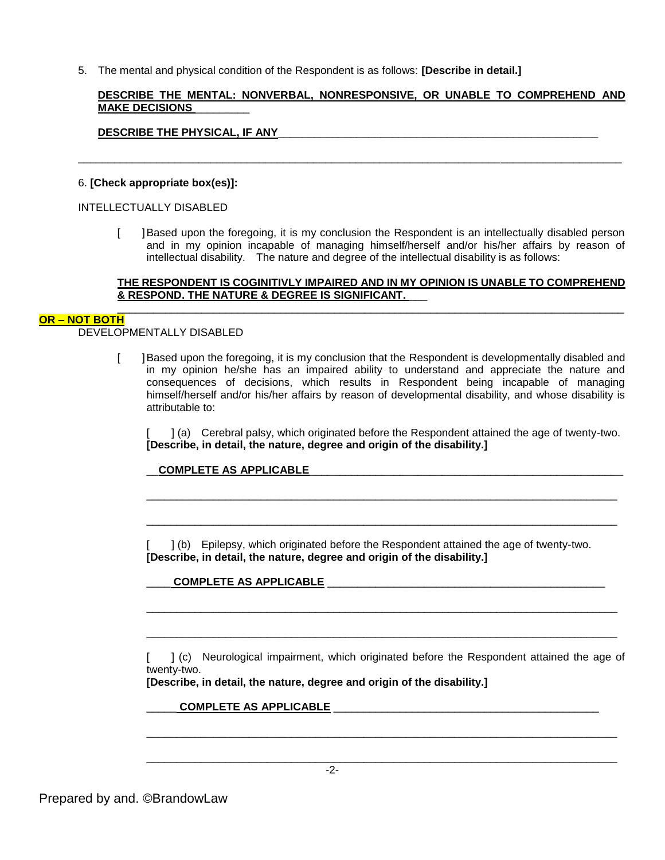5. The mental and physical condition of the Respondent is as follows: **[Describe in detail.]**

# **DESCRIBE THE MENTAL: NONVERBAL, NONRESPONSIVE, OR UNABLE TO COMPREHEND AND MAKE DECISIONS** \_\_\_\_\_\_\_\_\_

\_\_\_\_\_\_\_\_\_\_\_\_\_\_\_\_\_\_\_\_\_\_\_\_\_\_\_\_\_\_\_\_\_\_\_\_\_\_\_\_\_\_\_\_\_\_\_\_\_\_\_\_\_\_\_\_\_\_\_\_\_\_\_\_\_\_\_\_\_\_\_\_\_\_\_\_\_\_\_\_\_\_\_\_\_\_\_\_\_\_

# **DESCRIBE THE PHYSICAL, IF ANY**\_\_\_\_\_\_\_\_\_\_\_\_\_\_\_\_\_\_\_\_\_\_\_\_\_\_\_\_\_\_\_\_\_\_\_\_\_\_\_\_\_\_\_\_\_\_\_\_\_\_\_\_\_

#### 6. **[Check appropriate box(es)]:**

#### INTELLECTUALLY DISABLED

[ ]Based upon the foregoing, it is my conclusion the Respondent is an intellectually disabled person and in my opinion incapable of managing himself/herself and/or his/her affairs by reason of intellectual disability. The nature and degree of the intellectual disability is as follows:

## **THE RESPONDENT IS COGINITIVLY IMPAIRED AND IN MY OPINION IS UNABLE TO COMPREHEND & RESPOND. THE NATURE & DEGREE IS SIGNIFICANT.** \_\_\_

#### \_\_\_\_\_\_\_\_\_\_\_\_\_\_\_\_\_\_\_\_\_\_\_\_\_\_\_\_\_\_\_\_\_\_\_\_\_\_\_\_\_\_\_\_\_\_\_\_\_\_\_\_\_\_\_\_\_\_\_\_\_\_\_\_\_\_\_\_\_\_\_\_\_\_\_\_\_\_\_\_\_\_\_\_ **OR – NOT BOTH**

DEVELOPMENTALLY DISABLED

[ ]Based upon the foregoing, it is my conclusion that the Respondent is developmentally disabled and in my opinion he/she has an impaired ability to understand and appreciate the nature and consequences of decisions, which results in Respondent being incapable of managing himself/herself and/or his/her affairs by reason of developmental disability, and whose disability is attributable to:

[ ] (a) Cerebral palsy, which originated before the Respondent attained the age of twenty-two. **[Describe, in detail, the nature, degree and origin of the disability.]**

\_\_\_\_\_\_\_\_\_\_\_\_\_\_\_\_\_\_\_\_\_\_\_\_\_\_\_\_\_\_\_\_\_\_\_\_\_\_\_\_\_\_\_\_\_\_\_\_\_\_\_\_\_\_\_\_\_\_\_\_\_\_\_\_\_\_\_\_\_\_\_\_\_\_\_\_\_\_

\_\_\_\_\_\_\_\_\_\_\_\_\_\_\_\_\_\_\_\_\_\_\_\_\_\_\_\_\_\_\_\_\_\_\_\_\_\_\_\_\_\_\_\_\_\_\_\_\_\_\_\_\_\_\_\_\_\_\_\_\_\_\_\_\_\_\_\_\_\_\_\_\_\_\_\_\_\_

#### \_\_**COMPLETE AS APPLICABLE**\_\_\_\_\_\_\_\_\_\_\_\_\_\_\_\_\_\_\_\_\_\_\_\_\_\_\_\_\_\_\_\_\_\_\_\_\_\_\_\_\_\_\_\_\_\_\_\_\_\_\_\_

[ ] (b) Epilepsy, which originated before the Respondent attained the age of twenty-two. **[Describe, in detail, the nature, degree and origin of the disability.]**

# \_\_\_\_ **COMPLETE AS APPLICABLE** \_\_\_\_\_\_\_\_\_\_\_\_\_\_\_\_\_\_\_\_\_\_\_\_\_\_\_\_\_\_\_\_\_\_\_\_\_\_\_\_\_\_\_\_\_\_

[ ] (c) Neurological impairment, which originated before the Respondent attained the age of twenty-two.

\_\_\_\_\_\_\_\_\_\_\_\_\_\_\_\_\_\_\_\_\_\_\_\_\_\_\_\_\_\_\_\_\_\_\_\_\_\_\_\_\_\_\_\_\_\_\_\_\_\_\_\_\_\_\_\_\_\_\_\_\_\_\_\_\_\_\_\_\_\_\_\_\_\_\_\_\_\_

\_\_\_\_\_\_\_\_\_\_\_\_\_\_\_\_\_\_\_\_\_\_\_\_\_\_\_\_\_\_\_\_\_\_\_\_\_\_\_\_\_\_\_\_\_\_\_\_\_\_\_\_\_\_\_\_\_\_\_\_\_\_\_\_\_\_\_\_\_\_\_\_\_\_\_\_\_\_

\_\_\_\_\_\_\_\_\_\_\_\_\_\_\_\_\_\_\_\_\_\_\_\_\_\_\_\_\_\_\_\_\_\_\_\_\_\_\_\_\_\_\_\_\_\_\_\_\_\_\_\_\_\_\_\_\_\_\_\_\_\_\_\_\_\_\_\_\_\_\_\_\_\_\_\_\_\_

\_\_\_\_\_\_\_\_\_\_\_\_\_\_\_\_\_\_\_\_\_\_\_\_\_\_\_\_\_\_\_\_\_\_\_\_\_\_\_\_\_\_\_\_\_\_\_\_\_\_\_\_\_\_\_\_\_\_\_\_\_\_\_\_\_\_\_\_\_\_\_\_\_\_\_\_\_\_

**[Describe, in detail, the nature, degree and origin of the disability.]**

#### COMPLETE AS APPLICABLE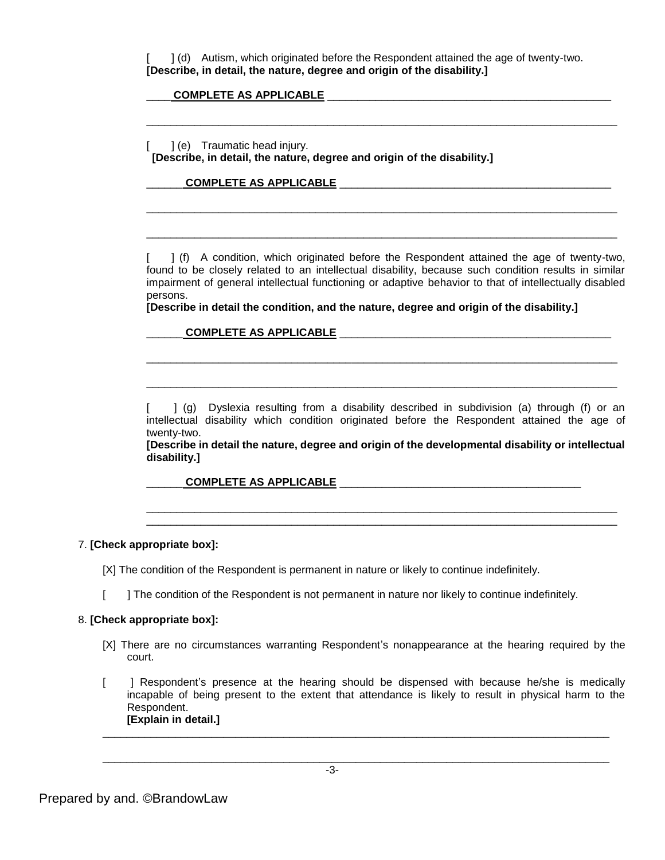[ ] (d) Autism, which originated before the Respondent attained the age of twenty-two. **[Describe, in detail, the nature, degree and origin of the disability.]**

\_\_\_\_\_\_\_\_\_\_\_\_\_\_\_\_\_\_\_\_\_\_\_\_\_\_\_\_\_\_\_\_\_\_\_\_\_\_\_\_\_\_\_\_\_\_\_\_\_\_\_\_\_\_\_\_\_\_\_\_\_\_\_\_\_\_\_\_\_\_\_\_\_\_\_\_\_\_

\_\_\_\_\_\_\_\_\_\_\_\_\_\_\_\_\_\_\_\_\_\_\_\_\_\_\_\_\_\_\_\_\_\_\_\_\_\_\_\_\_\_\_\_\_\_\_\_\_\_\_\_\_\_\_\_\_\_\_\_\_\_\_\_\_\_\_\_\_\_\_\_\_\_\_\_\_\_

\_\_\_\_\_\_\_\_\_\_\_\_\_\_\_\_\_\_\_\_\_\_\_\_\_\_\_\_\_\_\_\_\_\_\_\_\_\_\_\_\_\_\_\_\_\_\_\_\_\_\_\_\_\_\_\_\_\_\_\_\_\_\_\_\_\_\_\_\_\_\_\_\_\_\_\_\_\_

#### \_\_\_\_ **COMPLETE AS APPLICABLE** \_\_\_\_\_\_\_\_\_\_\_\_\_\_\_\_\_\_\_\_\_\_\_\_\_\_\_\_\_\_\_\_\_\_\_\_\_\_\_\_\_\_\_\_\_\_\_

[ ] (e) Traumatic head injury.

**[Describe, in detail, the nature, degree and origin of the disability.]**

#### \_\_\_\_\_\_ **COMPLETE AS APPLICABLE** \_\_\_\_\_\_\_\_\_\_\_\_\_\_\_\_\_\_\_\_\_\_\_\_\_\_\_\_\_\_\_\_\_\_\_\_\_\_\_\_\_\_\_\_\_

[ ] (f) A condition, which originated before the Respondent attained the age of twenty-two, found to be closely related to an intellectual disability, because such condition results in similar impairment of general intellectual functioning or adaptive behavior to that of intellectually disabled persons.

**[Describe in detail the condition, and the nature, degree and origin of the disability.]**

#### \_\_\_\_\_\_ **COMPLETE AS APPLICABLE** \_\_\_\_\_\_\_\_\_\_\_\_\_\_\_\_\_\_\_\_\_\_\_\_\_\_\_\_\_\_\_\_\_\_\_\_\_\_\_\_\_\_\_\_\_

[  $\Box$  (g) Dyslexia resulting from a disability described in subdivision (a) through (f) or an intellectual disability which condition originated before the Respondent attained the age of twenty-two.

\_\_\_\_\_\_\_\_\_\_\_\_\_\_\_\_\_\_\_\_\_\_\_\_\_\_\_\_\_\_\_\_\_\_\_\_\_\_\_\_\_\_\_\_\_\_\_\_\_\_\_\_\_\_\_\_\_\_\_\_\_\_\_\_\_\_\_\_\_\_\_\_\_\_\_\_\_\_

\_\_\_\_\_\_\_\_\_\_\_\_\_\_\_\_\_\_\_\_\_\_\_\_\_\_\_\_\_\_\_\_\_\_\_\_\_\_\_\_\_\_\_\_\_\_\_\_\_\_\_\_\_\_\_\_\_\_\_\_\_\_\_\_\_\_\_\_\_\_\_\_\_\_\_\_\_\_

**[Describe in detail the nature, degree and origin of the developmental disability or intellectual disability.]**

\_\_\_\_\_\_\_\_\_\_\_\_\_\_\_\_\_\_\_\_\_\_\_\_\_\_\_\_\_\_\_\_\_\_\_\_\_\_\_\_\_\_\_\_\_\_\_\_\_\_\_\_\_\_\_\_\_\_\_\_\_\_\_\_\_\_\_\_\_\_\_\_\_\_\_\_\_\_ \_\_\_\_\_\_\_\_\_\_\_\_\_\_\_\_\_\_\_\_\_\_\_\_\_\_\_\_\_\_\_\_\_\_\_\_\_\_\_\_\_\_\_\_\_\_\_\_\_\_\_\_\_\_\_\_\_\_\_\_\_\_\_\_\_\_\_\_\_\_\_\_\_\_\_\_\_\_

#### **COMPLETE AS APPLICABLE**  $\blacksquare$

7. **[Check appropriate box]:**

[X] The condition of the Respondent is permanent in nature or likely to continue indefinitely.

[ ] The condition of the Respondent is not permanent in nature nor likely to continue indefinitely.

#### 8. **[Check appropriate box]:**

- [X] There are no circumstances warranting Respondent's nonappearance at the hearing required by the court.
- [ ] Respondent's presence at the hearing should be dispensed with because he/she is medically incapable of being present to the extent that attendance is likely to result in physical harm to the Respondent. **[Explain in detail.]**

\_\_\_\_\_\_\_\_\_\_\_\_\_\_\_\_\_\_\_\_\_\_\_\_\_\_\_\_\_\_\_\_\_\_\_\_\_\_\_\_\_\_\_\_\_\_\_\_\_\_\_\_\_\_\_\_\_\_\_\_\_\_\_\_\_\_\_\_\_\_\_\_\_\_\_\_\_\_\_\_\_\_\_\_

\_\_\_\_\_\_\_\_\_\_\_\_\_\_\_\_\_\_\_\_\_\_\_\_\_\_\_\_\_\_\_\_\_\_\_\_\_\_\_\_\_\_\_\_\_\_\_\_\_\_\_\_\_\_\_\_\_\_\_\_\_\_\_\_\_\_\_\_\_\_\_\_\_\_\_\_\_\_\_\_\_\_\_\_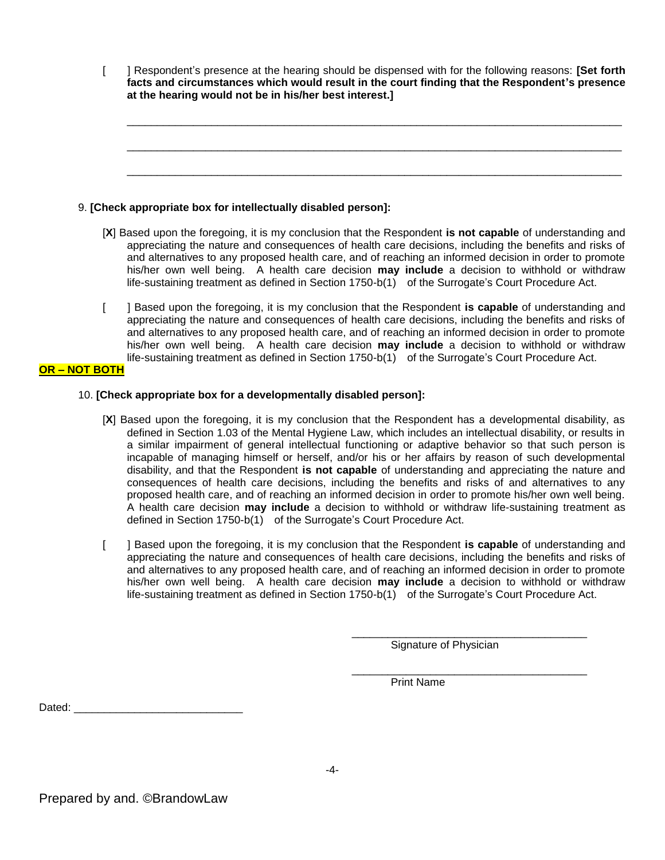[ ] Respondent's presence at the hearing should be dispensed with for the following reasons: **[Set forth facts and circumstances which would result in the court finding that the Respondent's presence at the hearing would not be in his/her best interest.]**

\_\_\_\_\_\_\_\_\_\_\_\_\_\_\_\_\_\_\_\_\_\_\_\_\_\_\_\_\_\_\_\_\_\_\_\_\_\_\_\_\_\_\_\_\_\_\_\_\_\_\_\_\_\_\_\_\_\_\_\_\_\_\_\_\_\_\_\_\_\_\_\_\_\_\_\_\_\_\_\_\_\_

\_\_\_\_\_\_\_\_\_\_\_\_\_\_\_\_\_\_\_\_\_\_\_\_\_\_\_\_\_\_\_\_\_\_\_\_\_\_\_\_\_\_\_\_\_\_\_\_\_\_\_\_\_\_\_\_\_\_\_\_\_\_\_\_\_\_\_\_\_\_\_\_\_\_\_\_\_\_\_\_\_\_

\_\_\_\_\_\_\_\_\_\_\_\_\_\_\_\_\_\_\_\_\_\_\_\_\_\_\_\_\_\_\_\_\_\_\_\_\_\_\_\_\_\_\_\_\_\_\_\_\_\_\_\_\_\_\_\_\_\_\_\_\_\_\_\_\_\_\_\_\_\_\_\_\_\_\_\_\_\_\_\_\_\_

#### 9. **[Check appropriate box for intellectually disabled person]:**

- [**X**] Based upon the foregoing, it is my conclusion that the Respondent **is not capable** of understanding and appreciating the nature and consequences of health care decisions, including the benefits and risks of and alternatives to any proposed health care, and of reaching an informed decision in order to promote his/her own well being. A health care decision **may include** a decision to withhold or withdraw life-sustaining treatment as defined in Section 1750-b(1) of the Surrogate's Court Procedure Act.
- [ ] Based upon the foregoing, it is my conclusion that the Respondent **is capable** of understanding and appreciating the nature and consequences of health care decisions, including the benefits and risks of and alternatives to any proposed health care, and of reaching an informed decision in order to promote his/her own well being. A health care decision **may include** a decision to withhold or withdraw life-sustaining treatment as defined in Section 1750-b(1) of the Surrogate's Court Procedure Act.

#### **OR – NOT BOTH**

## 10. **[Check appropriate box for a developmentally disabled person]:**

- [**X**] Based upon the foregoing, it is my conclusion that the Respondent has a developmental disability, as defined in Section 1.03 of the Mental Hygiene Law, which includes an intellectual disability, or results in a similar impairment of general intellectual functioning or adaptive behavior so that such person is incapable of managing himself or herself, and/or his or her affairs by reason of such developmental disability, and that the Respondent **is not capable** of understanding and appreciating the nature and consequences of health care decisions, including the benefits and risks of and alternatives to any proposed health care, and of reaching an informed decision in order to promote his/her own well being. A health care decision **may include** a decision to withhold or withdraw life-sustaining treatment as defined in Section 1750-b(1) of the Surrogate's Court Procedure Act.
- [ ] Based upon the foregoing, it is my conclusion that the Respondent **is capable** of understanding and appreciating the nature and consequences of health care decisions, including the benefits and risks of and alternatives to any proposed health care, and of reaching an informed decision in order to promote his/her own well being. A health care decision **may include** a decision to withhold or withdraw life-sustaining treatment as defined in Section 1750-b(1) of the Surrogate's Court Procedure Act.

Signature of Physician

\_\_\_\_\_\_\_\_\_\_\_\_\_\_\_\_\_\_\_\_\_\_\_\_\_\_\_\_\_\_\_\_\_\_\_\_\_\_\_

\_\_\_\_\_\_\_\_\_\_\_\_\_\_\_\_\_\_\_\_\_\_\_\_\_\_\_\_\_\_\_\_\_\_\_\_\_\_\_

Print Name

Dated: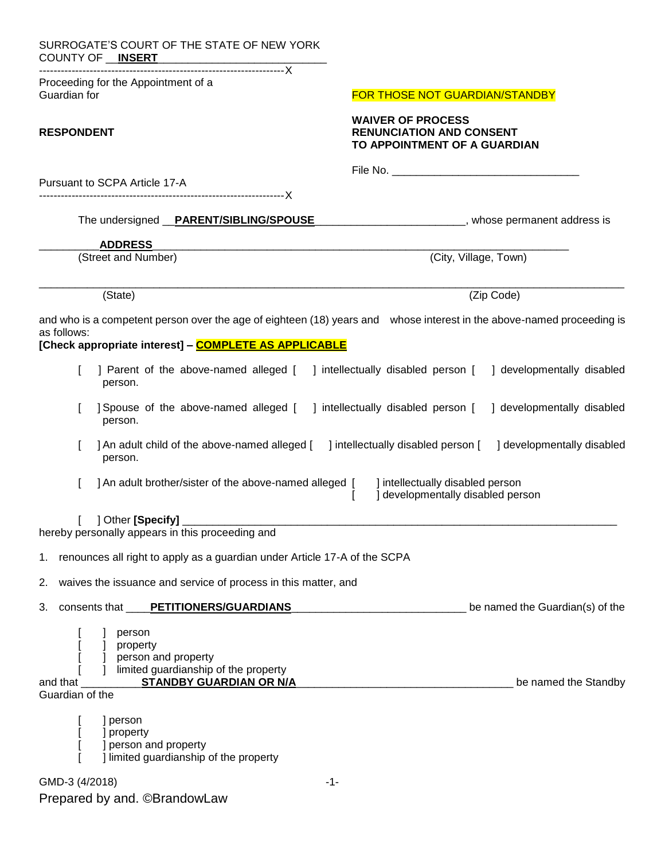| SURROGATE'S COURT OF THE STATE OF NEW YORK<br>COUNTY OF __ INSERT                                                                       |                                                                                             |  |  |  |  |
|-----------------------------------------------------------------------------------------------------------------------------------------|---------------------------------------------------------------------------------------------|--|--|--|--|
| Proceeding for the Appointment of a<br>Guardian for                                                                                     | <b>FOR THOSE NOT GUARDIAN/STANDBY</b>                                                       |  |  |  |  |
| <b>RESPONDENT</b>                                                                                                                       | <b>WAIVER OF PROCESS</b><br><b>RENUNCIATION AND CONSENT</b><br>TO APPOINTMENT OF A GUARDIAN |  |  |  |  |
| Pursuant to SCPA Article 17-A                                                                                                           |                                                                                             |  |  |  |  |
| The undersigned __PARENT/SIBLING/SPOUSE                                                                                                 | _____________________, whose permanent address is                                           |  |  |  |  |
| <b>ADDRESS</b>                                                                                                                          |                                                                                             |  |  |  |  |
| (Street and Number)                                                                                                                     | (City, Village, Town)                                                                       |  |  |  |  |
| (State)                                                                                                                                 | (Zip Code)                                                                                  |  |  |  |  |
| and who is a competent person over the age of eighteen (18) years and whose interest in the above-named proceeding is<br>as follows:    |                                                                                             |  |  |  |  |
| [Check appropriate interest] - <b>COMPLETE AS APPLICABLE</b>                                                                            |                                                                                             |  |  |  |  |
| ] Parent of the above-named alleged [ ] intellectually disabled person [<br>person.                                                     | ] developmentally disabled                                                                  |  |  |  |  |
| ] developmentally disabled<br>Spouse of the above-named alleged [ ] intellectually disabled person [<br>person.                         |                                                                                             |  |  |  |  |
| ] An adult child of the above-named alleged [<br>person.                                                                                | ] intellectually disabled person [<br>] developmentally disabled                            |  |  |  |  |
| ] An adult brother/sister of the above-named alleged [ ] intellectually disabled person                                                 | ] developmentally disabled person                                                           |  |  |  |  |
| 1 Other [Specify]<br>hereby personally appears in this proceeding and                                                                   |                                                                                             |  |  |  |  |
|                                                                                                                                         |                                                                                             |  |  |  |  |
| 1. renounces all right to apply as a guardian under Article 17-A of the SCPA                                                            |                                                                                             |  |  |  |  |
| 2. waives the issuance and service of process in this matter, and                                                                       |                                                                                             |  |  |  |  |
| 3. consents that <b>____PETITIONERS/GUARDIANS</b>                                                                                       | be named the Guardian(s) of the                                                             |  |  |  |  |
| person<br>] property<br>] person and property<br>] limited guardianship of the property<br>_STANDBY GUARDIAN OR N/A_<br>Guardian of the | be named the Standby                                                                        |  |  |  |  |
| ] person<br>] property<br>] person and property<br>] limited guardianship of the property                                               |                                                                                             |  |  |  |  |
| GMD-3 (4/2018)<br>$-1-$                                                                                                                 |                                                                                             |  |  |  |  |
| Prepared by and. ©BrandowLaw                                                                                                            |                                                                                             |  |  |  |  |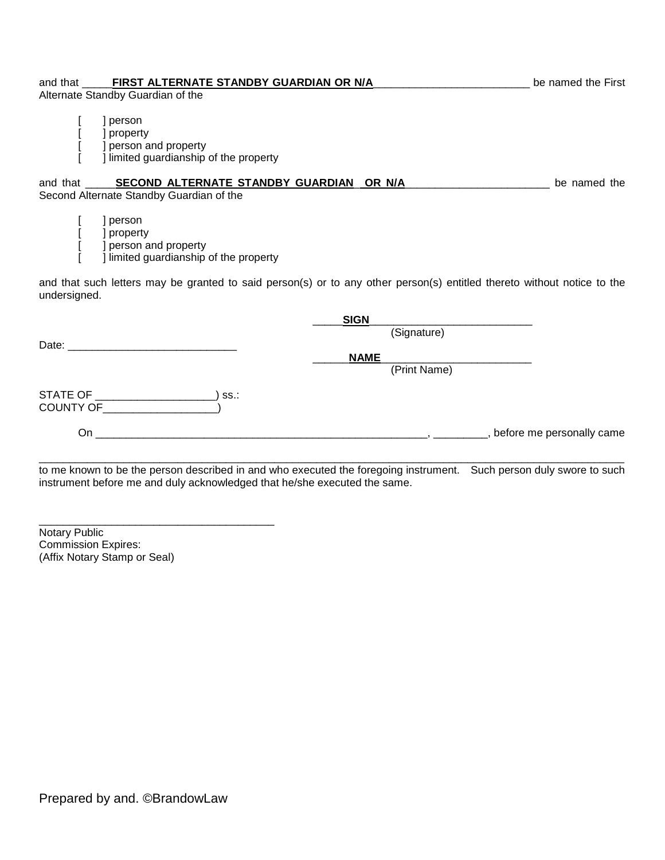# and that \_\_\_\_\_**FIRST ALTERNATE STANDBY GUARDIAN OR N/A**\_\_\_\_\_\_\_\_\_\_\_\_\_\_\_\_\_\_\_\_\_\_\_\_\_\_ be named the First

Alternate Standby Guardian of the

- [ ] person
- [ ] property
- [ ] person and property<br>[ ] limited guardianship
	- [ ] limited guardianship of the property

and that **SECOND ALTERNATE STANDBY GUARDIAN OR N/A**<br>Letteral and the named the

Second Alternate Standby Guardian of the

[ ] person [ ] property [ ] person and property<br>[ ] limited guardianship [ ] limited guardianship of the property

and that such letters may be granted to said person(s) or to any other person(s) entitled thereto without notice to the undersigned.

|                                                                                                                     |      | SIGN        |              |                             |
|---------------------------------------------------------------------------------------------------------------------|------|-------------|--------------|-----------------------------|
|                                                                                                                     |      |             | (Signature)  |                             |
| Date:                                                                                                               |      | <b>NAME</b> |              |                             |
|                                                                                                                     |      |             | (Print Name) |                             |
| STATE OF<br>COUNTY OF                                                                                               | SS.: |             |              |                             |
| On                                                                                                                  |      |             |              | , before me personally came |
| القروية ويتعاونه والمستحقق والمتلوث والمتحدث والمراوية والمتحا المستحقق والمتحدث والمتحال والمستحدث والمستحق المتحد |      |             |              |                             |

to me known to be the person described in and who executed the foregoing instrument. Such person duly swore to such instrument before me and duly acknowledged that he/she executed the same.

Notary Public Commission Expires: (Affix Notary Stamp or Seal)

\_\_\_\_\_\_\_\_\_\_\_\_\_\_\_\_\_\_\_\_\_\_\_\_\_\_\_\_\_\_\_\_\_\_\_\_\_\_\_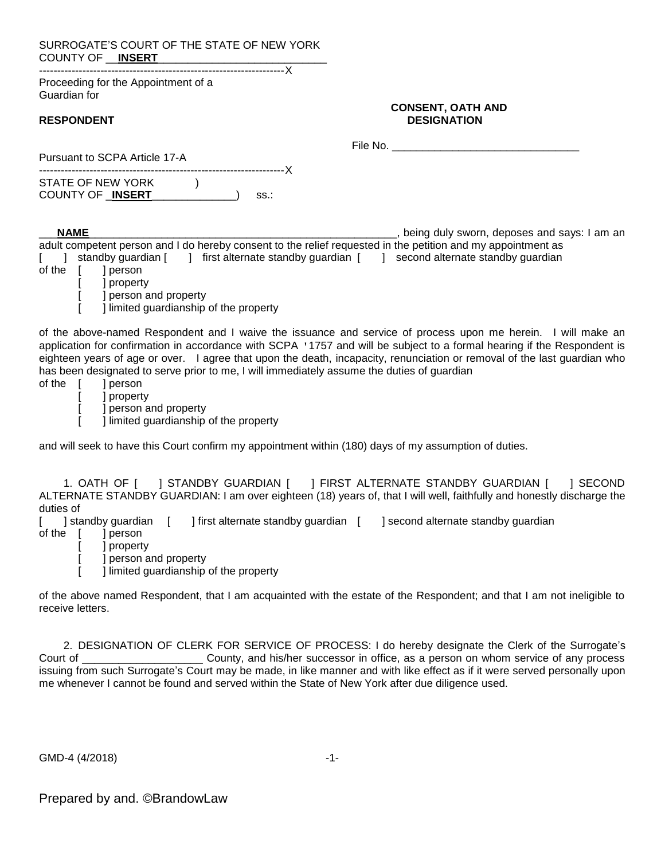SURROGATE'S COURT OF THE STATE OF NEW YORK COUNTY OF \_\_**INSERT**\_\_\_\_\_\_\_\_\_\_\_\_\_\_\_\_\_\_\_\_\_\_\_\_\_\_\_\_

--------------------------------------------------------------------X Proceeding for the Appointment of a Guardian for

Pursuant to SCPA Article 17-A

#### **CONSENT, OATH AND RESPONDENT DESIGNATION**

File No.

| Pursuant to SCPA Article 17-A |  |      |
|-------------------------------|--|------|
| STATE OF NEW YORK             |  |      |
| COUNTY OF INSERT              |  | SS.: |

\_\_\_**NAME**\_\_\_\_\_\_\_\_\_\_\_\_\_\_\_\_\_\_\_\_\_\_\_\_\_\_\_\_\_\_\_\_\_\_\_\_\_\_\_\_\_\_\_\_\_\_\_\_\_\_\_, being duly sworn, deposes and says: I am an adult competent person and I do hereby consent to the relief requested in the petition and my appointment as [ ] standby guardian [ ] first alternate standby guardian [ ] second alternate standby guardian of the [ ] person

[ ] property I person and property

[ ] limited guardianship of the property

of the above-named Respondent and I waive the issuance and service of process upon me herein. I will make an application for confirmation in accordance with SCPA '1757 and will be subject to a formal hearing if the Respondent is eighteen years of age or over. I agree that upon the death, incapacity, renunciation or removal of the last guardian who has been designated to serve prior to me, I will immediately assume the duties of guardian

- of the [ ] person
	- [ ] property

[ ] person and property

[ ] limited guardianship of the property

and will seek to have this Court confirm my appointment within (180) days of my assumption of duties.

1. OATH OF [ ] STANDBY GUARDIAN [ ] FIRST ALTERNATE STANDBY GUARDIAN [ ] SECOND ALTERNATE STANDBY GUARDIAN: I am over eighteen (18) years of, that I will well, faithfully and honestly discharge the duties of [ ] standby quardian [ ] first alternate standby quardian [ ] second alternate standby quardian

- of the [ ] person
	- [ ] property
	- [ ] person and property
		- [ ] limited guardianship of the property

of the above named Respondent, that I am acquainted with the estate of the Respondent; and that I am not ineligible to receive letters.

2. DESIGNATION OF CLERK FOR SERVICE OF PROCESS: I do hereby designate the Clerk of the Surrogate's<br>County, and his/her successor in office, as a person on whom service of any process County, and his/her successor in office, as a person on whom service of any process issuing from such Surrogate's Court may be made, in like manner and with like effect as if it were served personally upon me whenever I cannot be found and served within the State of New York after due diligence used.

GMD-4 (4/2018) -1-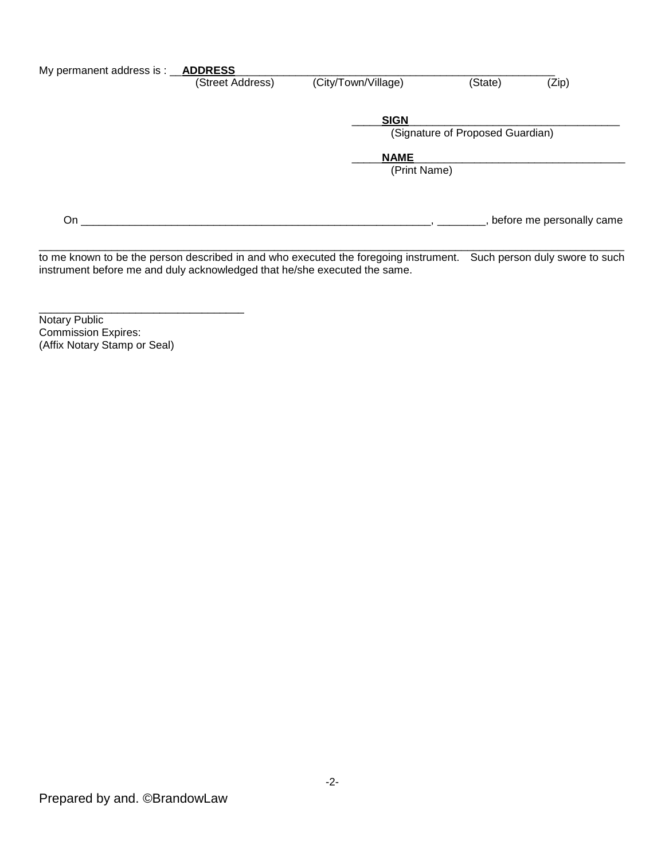| My permanent address is : _ | <b>ADDRESS</b>   |                     |                                  |                           |
|-----------------------------|------------------|---------------------|----------------------------------|---------------------------|
|                             | (Street Address) | (City/Town/Village) | (State)                          | (Zip)                     |
|                             |                  | <b>SIGN</b>         |                                  |                           |
|                             |                  |                     | (Signature of Proposed Guardian) |                           |
|                             |                  | <b>NAME</b>         |                                  |                           |
|                             |                  | (Print Name)        |                                  |                           |
|                             |                  |                     |                                  |                           |
| On                          |                  |                     |                                  | before me personally came |

 $\Box$ to me known to be the person described in and who executed the foregoing instrument. Such person duly swore to such instrument before me and duly acknowledged that he/she executed the same.

Notary Public Commission Expires: (Affix Notary Stamp or Seal)

\_\_\_\_\_\_\_\_\_\_\_\_\_\_\_\_\_\_\_\_\_\_\_\_\_\_\_\_\_\_\_\_\_\_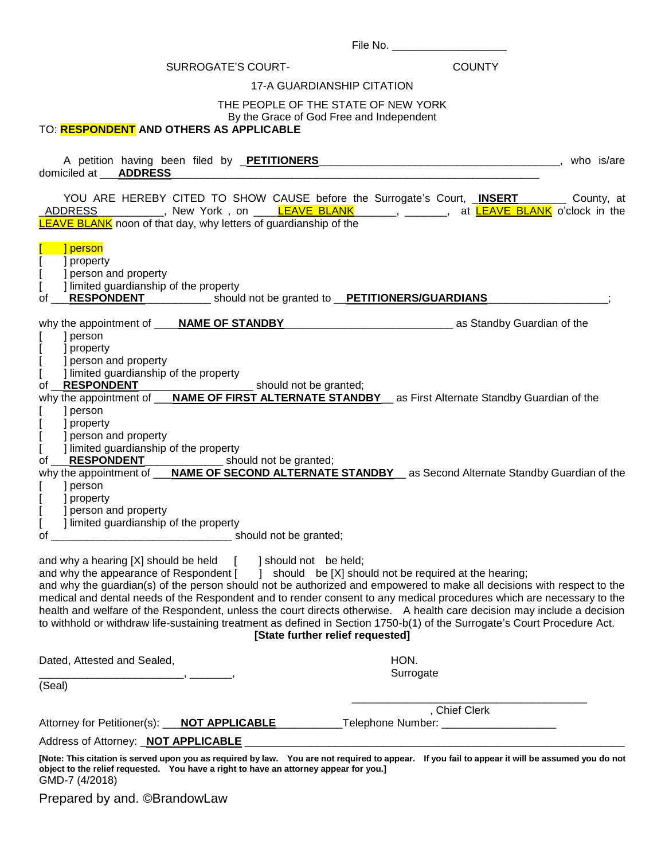| File No. |
|----------|
|          |

# SURROGATE'S COURT- COUNTY

# 17-A GUARDIANSHIP CITATION

# THE PEOPLE OF THE STATE OF NEW YORK

By the Grace of God Free and Independent

# TO: **RESPONDENT AND OTHERS AS APPLICABLE**

| A petition having been filed by <b>PETITIONERS</b><br>domiciled at <b>ADDRESS</b>                                                                                                           | who is/are                                                                                                                                                                                                                                           |  |  |  |  |
|---------------------------------------------------------------------------------------------------------------------------------------------------------------------------------------------|------------------------------------------------------------------------------------------------------------------------------------------------------------------------------------------------------------------------------------------------------|--|--|--|--|
| YOU ARE HEREBY CITED TO SHOW CAUSE before the Surrogate's Court, INSERT<br><b>LEAVE BLANK</b> noon of that day, why letters of guardianship of the                                          | County, at<br>_ <u>ADDRESS____________</u> ,_New_York,on _____ <mark>LEAVE_BLANK</mark> _______,_ <sub>_</sub> _______, at <mark>LEAVE_BLANK</mark> _o'clock_in_the                                                                                  |  |  |  |  |
| ] person<br>] property<br>] person and property<br>] limited guardianship of the property<br><b>RESPONDENT</b> ____________ should not be granted to __PETITIONERS/GUARDIANS_<br>of         |                                                                                                                                                                                                                                                      |  |  |  |  |
|                                                                                                                                                                                             |                                                                                                                                                                                                                                                      |  |  |  |  |
| ] person<br>] property                                                                                                                                                                      |                                                                                                                                                                                                                                                      |  |  |  |  |
| ] person and property                                                                                                                                                                       |                                                                                                                                                                                                                                                      |  |  |  |  |
| ] limited guardianship of the property                                                                                                                                                      |                                                                                                                                                                                                                                                      |  |  |  |  |
| <b>RESPONDENT</b><br>_______________________________ should not be granted;<br>of<br>why the appointment of ___NAME OF FIRST ALTERNATE STANDBY__ as First Alternate Standby Guardian of the |                                                                                                                                                                                                                                                      |  |  |  |  |
| ] person                                                                                                                                                                                    |                                                                                                                                                                                                                                                      |  |  |  |  |
| ] property<br>] person and property                                                                                                                                                         |                                                                                                                                                                                                                                                      |  |  |  |  |
| ] limited guardianship of the property                                                                                                                                                      |                                                                                                                                                                                                                                                      |  |  |  |  |
|                                                                                                                                                                                             |                                                                                                                                                                                                                                                      |  |  |  |  |
| of <u>RESPONDENT</u><br>why the appointment of <b>NAME OF SECOND ALTERNATE STANDBY</b> as Second Alternate Standby Guardian of the<br>] person                                              |                                                                                                                                                                                                                                                      |  |  |  |  |
| ] property                                                                                                                                                                                  |                                                                                                                                                                                                                                                      |  |  |  |  |
| ] person and property                                                                                                                                                                       |                                                                                                                                                                                                                                                      |  |  |  |  |
| ] limited guardianship of the property<br>of                                                                                                                                                |                                                                                                                                                                                                                                                      |  |  |  |  |
|                                                                                                                                                                                             |                                                                                                                                                                                                                                                      |  |  |  |  |
| and why a hearing [X] should be held [ ] should not be held;<br>and why the appearance of Respondent [ ] should be [X] should not be required at the hearing;                               |                                                                                                                                                                                                                                                      |  |  |  |  |
|                                                                                                                                                                                             | and why the guardian(s) of the person should not be authorized and empowered to make all decisions with respect to the                                                                                                                               |  |  |  |  |
|                                                                                                                                                                                             | medical and dental needs of the Respondent and to render consent to any medical procedures which are necessary to the                                                                                                                                |  |  |  |  |
|                                                                                                                                                                                             | health and welfare of the Respondent, unless the court directs otherwise. A health care decision may include a decision<br>to withhold or withdraw life-sustaining treatment as defined in Section 1750-b(1) of the Surrogate's Court Procedure Act. |  |  |  |  |
| [State further relief requested]                                                                                                                                                            |                                                                                                                                                                                                                                                      |  |  |  |  |
| Dated, Attested and Sealed,                                                                                                                                                                 | HON.                                                                                                                                                                                                                                                 |  |  |  |  |
| $\overline{\phantom{a}}$                                                                                                                                                                    | Surrogate                                                                                                                                                                                                                                            |  |  |  |  |
| (Seal)                                                                                                                                                                                      |                                                                                                                                                                                                                                                      |  |  |  |  |
|                                                                                                                                                                                             | , Chief Clerk                                                                                                                                                                                                                                        |  |  |  |  |
| Attorney for Petitioner(s): __ <b>NOT APPLICABLE</b>                                                                                                                                        |                                                                                                                                                                                                                                                      |  |  |  |  |
| Address of Attorney: <b>NOT APPLICABLE</b>                                                                                                                                                  |                                                                                                                                                                                                                                                      |  |  |  |  |

**[Note: This citation is served upon you as required by law. You are not required to appear. If you fail to appear it will be assumed you do not object to the relief requested. You have a right to have an attorney appear for you.]** GMD-7 (4/2018)

Prepared by and. ©BrandowLaw